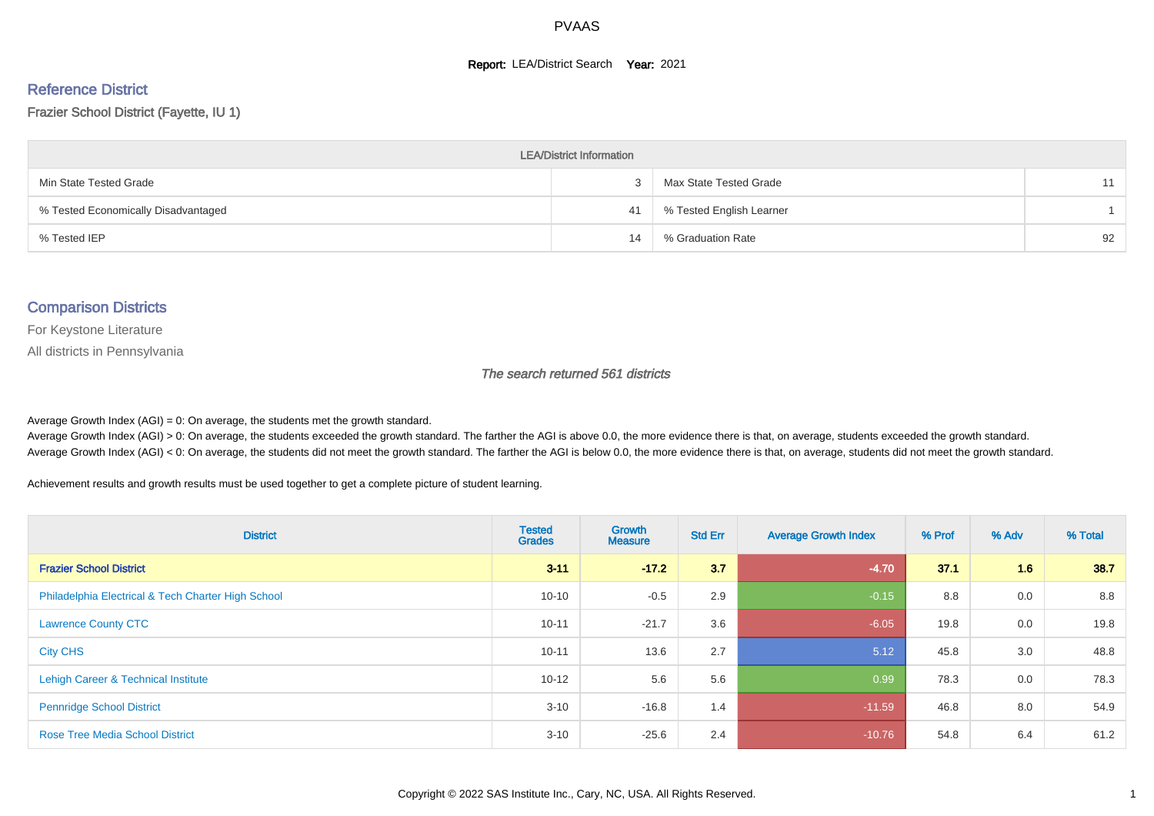#### **Report: LEA/District Search Year: 2021**

# Reference District

Frazier School District (Fayette, IU 1)

| <b>LEA/District Information</b>     |    |                          |    |  |  |  |  |  |  |  |
|-------------------------------------|----|--------------------------|----|--|--|--|--|--|--|--|
| Min State Tested Grade              |    | Max State Tested Grade   | 11 |  |  |  |  |  |  |  |
| % Tested Economically Disadvantaged | 41 | % Tested English Learner |    |  |  |  |  |  |  |  |
| % Tested IEP                        | 14 | % Graduation Rate        | 92 |  |  |  |  |  |  |  |

#### Comparison Districts

For Keystone Literature

All districts in Pennsylvania

The search returned 561 districts

Average Growth Index  $(AGI) = 0$ : On average, the students met the growth standard.

Average Growth Index (AGI) > 0: On average, the students exceeded the growth standard. The farther the AGI is above 0.0, the more evidence there is that, on average, students exceeded the growth standard. Average Growth Index (AGI) < 0: On average, the students did not meet the growth standard. The farther the AGI is below 0.0, the more evidence there is that, on average, students did not meet the growth standard.

Achievement results and growth results must be used together to get a complete picture of student learning.

| <b>District</b>                                    | <b>Tested</b><br><b>Grades</b> | <b>Growth</b><br><b>Measure</b> | <b>Std Err</b> | <b>Average Growth Index</b> | % Prof | % Adv | % Total |
|----------------------------------------------------|--------------------------------|---------------------------------|----------------|-----------------------------|--------|-------|---------|
| <b>Frazier School District</b>                     | $3 - 11$                       | $-17.2$                         | 3.7            | $-4.70$                     | 37.1   | 1.6   | 38.7    |
| Philadelphia Electrical & Tech Charter High School | $10 - 10$                      | $-0.5$                          | 2.9            | $-0.15$                     | 8.8    | 0.0   | 8.8     |
| <b>Lawrence County CTC</b>                         | $10 - 11$                      | $-21.7$                         | 3.6            | $-6.05$                     | 19.8   | 0.0   | 19.8    |
| <b>City CHS</b>                                    | $10 - 11$                      | 13.6                            | 2.7            | 5.12                        | 45.8   | 3.0   | 48.8    |
| Lehigh Career & Technical Institute                | $10 - 12$                      | 5.6                             | 5.6            | 0.99                        | 78.3   | 0.0   | 78.3    |
| <b>Pennridge School District</b>                   | $3 - 10$                       | $-16.8$                         | 1.4            | $-11.59$                    | 46.8   | 8.0   | 54.9    |
| <b>Rose Tree Media School District</b>             | $3 - 10$                       | $-25.6$                         | 2.4            | $-10.76$                    | 54.8   | 6.4   | 61.2    |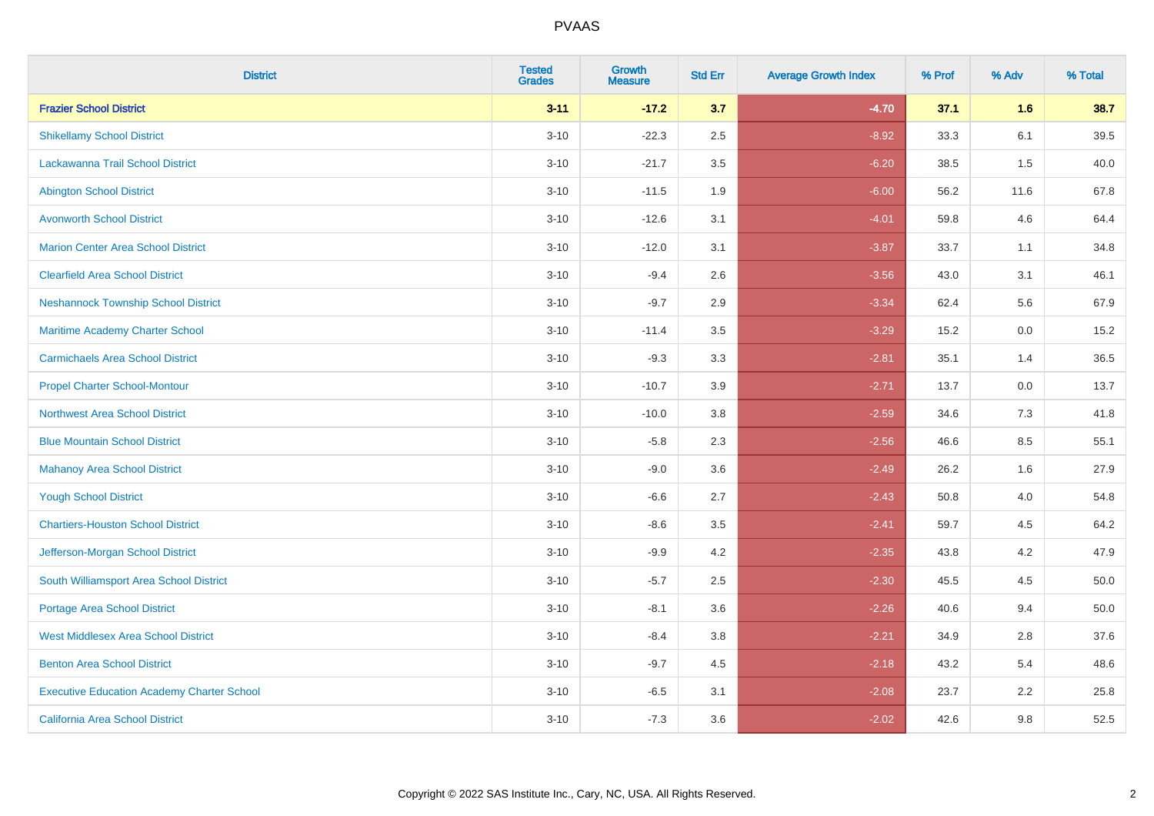| <b>District</b>                                   | <b>Tested</b><br><b>Grades</b> | <b>Growth</b><br><b>Measure</b> | <b>Std Err</b> | <b>Average Growth Index</b> | % Prof | % Adv | % Total |
|---------------------------------------------------|--------------------------------|---------------------------------|----------------|-----------------------------|--------|-------|---------|
| <b>Frazier School District</b>                    | $3 - 11$                       | $-17.2$                         | 3.7            | $-4.70$                     | 37.1   | 1.6   | 38.7    |
| <b>Shikellamy School District</b>                 | $3 - 10$                       | $-22.3$                         | 2.5            | $-8.92$                     | 33.3   | 6.1   | 39.5    |
| Lackawanna Trail School District                  | $3 - 10$                       | $-21.7$                         | 3.5            | $-6.20$                     | 38.5   | 1.5   | 40.0    |
| <b>Abington School District</b>                   | $3 - 10$                       | $-11.5$                         | 1.9            | $-6.00$                     | 56.2   | 11.6  | 67.8    |
| <b>Avonworth School District</b>                  | $3 - 10$                       | $-12.6$                         | 3.1            | $-4.01$                     | 59.8   | 4.6   | 64.4    |
| <b>Marion Center Area School District</b>         | $3 - 10$                       | $-12.0$                         | 3.1            | $-3.87$                     | 33.7   | 1.1   | 34.8    |
| <b>Clearfield Area School District</b>            | $3 - 10$                       | $-9.4$                          | 2.6            | $-3.56$                     | 43.0   | 3.1   | 46.1    |
| <b>Neshannock Township School District</b>        | $3 - 10$                       | $-9.7$                          | 2.9            | $-3.34$                     | 62.4   | 5.6   | 67.9    |
| Maritime Academy Charter School                   | $3 - 10$                       | $-11.4$                         | 3.5            | $-3.29$                     | 15.2   | 0.0   | 15.2    |
| <b>Carmichaels Area School District</b>           | $3 - 10$                       | $-9.3$                          | 3.3            | $-2.81$                     | 35.1   | 1.4   | 36.5    |
| <b>Propel Charter School-Montour</b>              | $3 - 10$                       | $-10.7$                         | 3.9            | $-2.71$                     | 13.7   | 0.0   | 13.7    |
| <b>Northwest Area School District</b>             | $3 - 10$                       | $-10.0$                         | 3.8            | $-2.59$                     | 34.6   | 7.3   | 41.8    |
| <b>Blue Mountain School District</b>              | $3 - 10$                       | $-5.8$                          | 2.3            | $-2.56$                     | 46.6   | 8.5   | 55.1    |
| <b>Mahanoy Area School District</b>               | $3 - 10$                       | $-9.0$                          | 3.6            | $-2.49$                     | 26.2   | 1.6   | 27.9    |
| <b>Yough School District</b>                      | $3 - 10$                       | $-6.6$                          | 2.7            | $-2.43$                     | 50.8   | 4.0   | 54.8    |
| <b>Chartiers-Houston School District</b>          | $3 - 10$                       | $-8.6$                          | 3.5            | $-2.41$                     | 59.7   | 4.5   | 64.2    |
| Jefferson-Morgan School District                  | $3 - 10$                       | $-9.9$                          | 4.2            | $-2.35$                     | 43.8   | 4.2   | 47.9    |
| South Williamsport Area School District           | $3 - 10$                       | $-5.7$                          | 2.5            | $-2.30$                     | 45.5   | 4.5   | 50.0    |
| <b>Portage Area School District</b>               | $3 - 10$                       | $-8.1$                          | 3.6            | $-2.26$                     | 40.6   | 9.4   | 50.0    |
| <b>West Middlesex Area School District</b>        | $3 - 10$                       | $-8.4$                          | 3.8            | $-2.21$                     | 34.9   | 2.8   | 37.6    |
| <b>Benton Area School District</b>                | $3 - 10$                       | $-9.7$                          | 4.5            | $-2.18$                     | 43.2   | 5.4   | 48.6    |
| <b>Executive Education Academy Charter School</b> | $3 - 10$                       | $-6.5$                          | 3.1            | $-2.08$                     | 23.7   | 2.2   | 25.8    |
| California Area School District                   | $3 - 10$                       | $-7.3$                          | 3.6            | $-2.02$                     | 42.6   | 9.8   | 52.5    |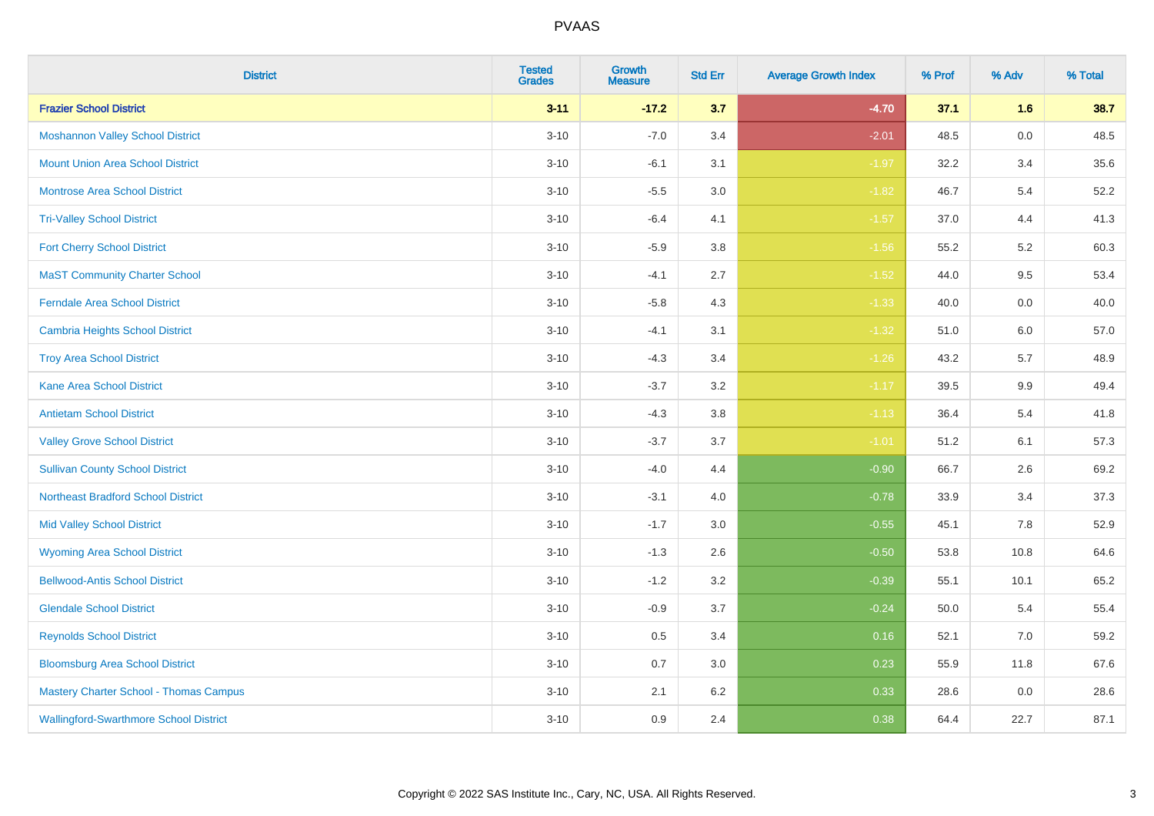| <b>District</b>                               | <b>Tested</b><br><b>Grades</b> | Growth<br><b>Measure</b> | <b>Std Err</b> | <b>Average Growth Index</b> | % Prof | % Adv   | % Total |
|-----------------------------------------------|--------------------------------|--------------------------|----------------|-----------------------------|--------|---------|---------|
| <b>Frazier School District</b>                | $3 - 11$                       | $-17.2$                  | 3.7            | $-4.70$                     | 37.1   | 1.6     | 38.7    |
| <b>Moshannon Valley School District</b>       | $3 - 10$                       | $-7.0$                   | 3.4            | $-2.01$                     | 48.5   | $0.0\,$ | 48.5    |
| <b>Mount Union Area School District</b>       | $3 - 10$                       | $-6.1$                   | 3.1            | $-1.97$                     | 32.2   | 3.4     | 35.6    |
| Montrose Area School District                 | $3 - 10$                       | $-5.5$                   | 3.0            | $-1.82$                     | 46.7   | $5.4$   | 52.2    |
| <b>Tri-Valley School District</b>             | $3 - 10$                       | $-6.4$                   | 4.1            | $-1.57$                     | 37.0   | 4.4     | 41.3    |
| <b>Fort Cherry School District</b>            | $3 - 10$                       | $-5.9$                   | 3.8            | $-1.56$                     | 55.2   | 5.2     | 60.3    |
| <b>MaST Community Charter School</b>          | $3 - 10$                       | $-4.1$                   | 2.7            | $-1.52$                     | 44.0   | 9.5     | 53.4    |
| <b>Ferndale Area School District</b>          | $3 - 10$                       | $-5.8$                   | 4.3            | $-1.33$                     | 40.0   | 0.0     | 40.0    |
| <b>Cambria Heights School District</b>        | $3 - 10$                       | $-4.1$                   | 3.1            | $-1.32$                     | 51.0   | 6.0     | 57.0    |
| <b>Troy Area School District</b>              | $3 - 10$                       | $-4.3$                   | 3.4            | $-1.26$                     | 43.2   | 5.7     | 48.9    |
| <b>Kane Area School District</b>              | $3 - 10$                       | $-3.7$                   | 3.2            | $-1.17$                     | 39.5   | 9.9     | 49.4    |
| <b>Antietam School District</b>               | $3 - 10$                       | $-4.3$                   | 3.8            | $-1.13$                     | 36.4   | 5.4     | 41.8    |
| <b>Valley Grove School District</b>           | $3 - 10$                       | $-3.7$                   | 3.7            | $-1.01$                     | 51.2   | 6.1     | 57.3    |
| <b>Sullivan County School District</b>        | $3 - 10$                       | $-4.0$                   | 4.4            | $-0.90$                     | 66.7   | 2.6     | 69.2    |
| <b>Northeast Bradford School District</b>     | $3 - 10$                       | $-3.1$                   | 4.0            | $-0.78$                     | 33.9   | 3.4     | 37.3    |
| <b>Mid Valley School District</b>             | $3 - 10$                       | $-1.7$                   | 3.0            | $-0.55$                     | 45.1   | 7.8     | 52.9    |
| <b>Wyoming Area School District</b>           | $3 - 10$                       | $-1.3$                   | 2.6            | $-0.50$                     | 53.8   | 10.8    | 64.6    |
| <b>Bellwood-Antis School District</b>         | $3 - 10$                       | $-1.2$                   | 3.2            | $-0.39$                     | 55.1   | 10.1    | 65.2    |
| <b>Glendale School District</b>               | $3 - 10$                       | $-0.9$                   | 3.7            | $-0.24$                     | 50.0   | 5.4     | 55.4    |
| <b>Reynolds School District</b>               | $3 - 10$                       | 0.5                      | 3.4            | 0.16                        | 52.1   | 7.0     | 59.2    |
| <b>Bloomsburg Area School District</b>        | $3 - 10$                       | 0.7                      | 3.0            | 0.23                        | 55.9   | 11.8    | 67.6    |
| <b>Mastery Charter School - Thomas Campus</b> | $3 - 10$                       | 2.1                      | 6.2            | 0.33                        | 28.6   | 0.0     | 28.6    |
| <b>Wallingford-Swarthmore School District</b> | $3 - 10$                       | 0.9                      | 2.4            | 0.38                        | 64.4   | 22.7    | 87.1    |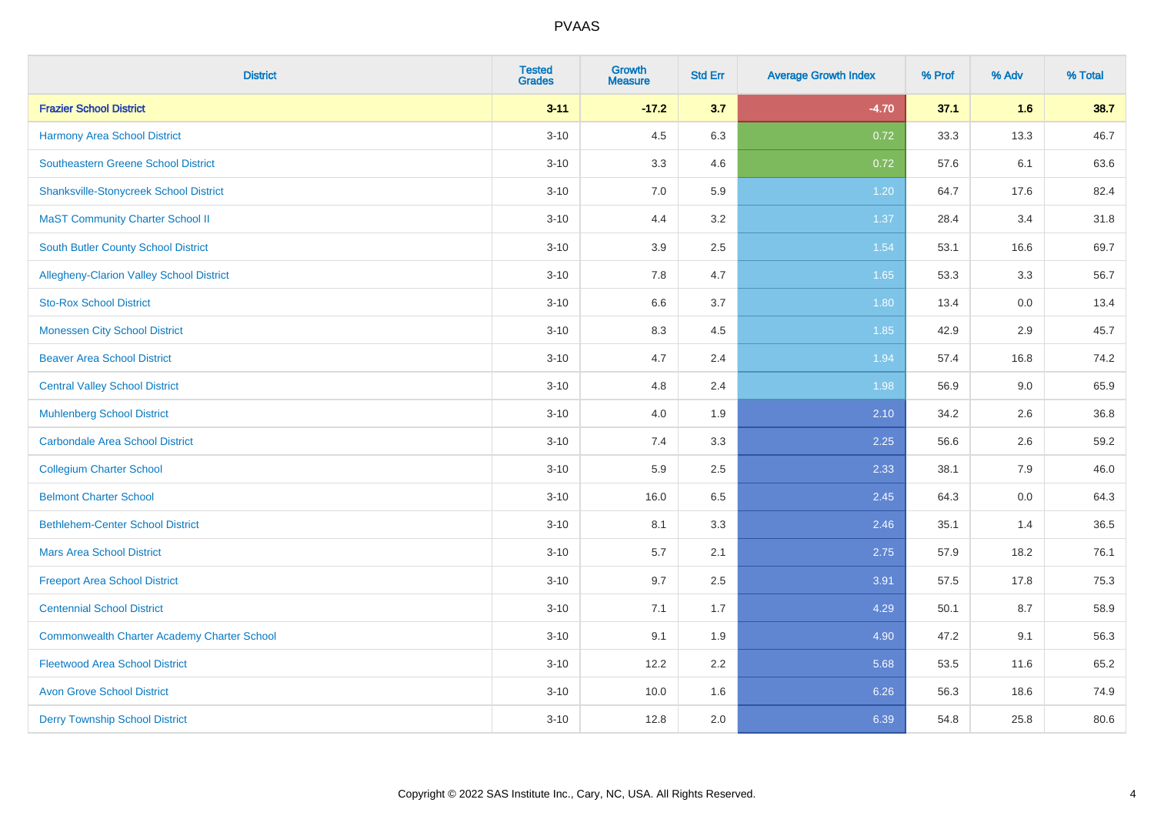| <b>District</b>                                    | <b>Tested</b><br><b>Grades</b> | <b>Growth</b><br><b>Measure</b> | <b>Std Err</b> | <b>Average Growth Index</b> | % Prof | % Adv | % Total |
|----------------------------------------------------|--------------------------------|---------------------------------|----------------|-----------------------------|--------|-------|---------|
| <b>Frazier School District</b>                     | $3 - 11$                       | $-17.2$                         | 3.7            | $-4.70$                     | 37.1   | 1.6   | 38.7    |
| <b>Harmony Area School District</b>                | $3 - 10$                       | 4.5                             | 6.3            | 0.72                        | 33.3   | 13.3  | 46.7    |
| <b>Southeastern Greene School District</b>         | $3 - 10$                       | 3.3                             | 4.6            | 0.72                        | 57.6   | 6.1   | 63.6    |
| <b>Shanksville-Stonycreek School District</b>      | $3 - 10$                       | $7.0\,$                         | 5.9            | 1.20                        | 64.7   | 17.6  | 82.4    |
| <b>MaST Community Charter School II</b>            | $3 - 10$                       | 4.4                             | 3.2            | 1.37                        | 28.4   | 3.4   | 31.8    |
| <b>South Butler County School District</b>         | $3 - 10$                       | 3.9                             | 2.5            | 1.54                        | 53.1   | 16.6  | 69.7    |
| Allegheny-Clarion Valley School District           | $3 - 10$                       | 7.8                             | 4.7            | 1.65                        | 53.3   | 3.3   | 56.7    |
| <b>Sto-Rox School District</b>                     | $3 - 10$                       | 6.6                             | 3.7            | 1.80                        | 13.4   | 0.0   | 13.4    |
| <b>Monessen City School District</b>               | $3 - 10$                       | 8.3                             | 4.5            | 1.85                        | 42.9   | 2.9   | 45.7    |
| <b>Beaver Area School District</b>                 | $3 - 10$                       | 4.7                             | 2.4            | 1.94                        | 57.4   | 16.8  | 74.2    |
| <b>Central Valley School District</b>              | $3 - 10$                       | 4.8                             | 2.4            | 1.98                        | 56.9   | 9.0   | 65.9    |
| <b>Muhlenberg School District</b>                  | $3 - 10$                       | 4.0                             | 1.9            | 2.10                        | 34.2   | 2.6   | 36.8    |
| <b>Carbondale Area School District</b>             | $3 - 10$                       | 7.4                             | 3.3            | 2.25                        | 56.6   | 2.6   | 59.2    |
| <b>Collegium Charter School</b>                    | $3 - 10$                       | 5.9                             | 2.5            | 2.33                        | 38.1   | 7.9   | 46.0    |
| <b>Belmont Charter School</b>                      | $3 - 10$                       | 16.0                            | 6.5            | 2.45                        | 64.3   | 0.0   | 64.3    |
| <b>Bethlehem-Center School District</b>            | $3 - 10$                       | 8.1                             | 3.3            | 2.46                        | 35.1   | 1.4   | 36.5    |
| <b>Mars Area School District</b>                   | $3 - 10$                       | 5.7                             | 2.1            | 2.75                        | 57.9   | 18.2  | 76.1    |
| <b>Freeport Area School District</b>               | $3 - 10$                       | 9.7                             | 2.5            | 3.91                        | 57.5   | 17.8  | 75.3    |
| <b>Centennial School District</b>                  | $3 - 10$                       | 7.1                             | 1.7            | 4.29                        | 50.1   | 8.7   | 58.9    |
| <b>Commonwealth Charter Academy Charter School</b> | $3 - 10$                       | 9.1                             | 1.9            | 4.90                        | 47.2   | 9.1   | 56.3    |
| <b>Fleetwood Area School District</b>              | $3 - 10$                       | 12.2                            | 2.2            | 5.68                        | 53.5   | 11.6  | 65.2    |
| <b>Avon Grove School District</b>                  | $3 - 10$                       | 10.0                            | 1.6            | 6.26                        | 56.3   | 18.6  | 74.9    |
| <b>Derry Township School District</b>              | $3 - 10$                       | 12.8                            | 2.0            | 6.39                        | 54.8   | 25.8  | 80.6    |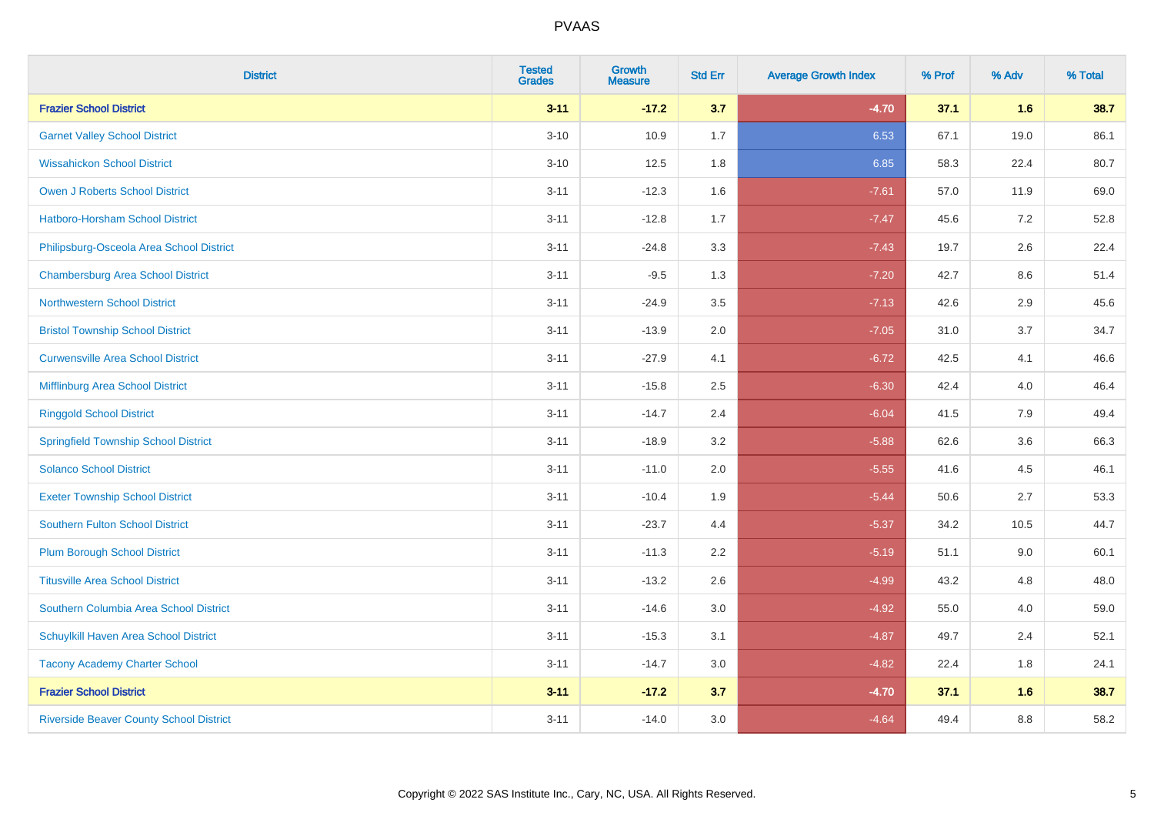| <b>District</b>                                | <b>Tested</b><br><b>Grades</b> | Growth<br><b>Measure</b> | <b>Std Err</b> | <b>Average Growth Index</b> | % Prof | % Adv   | % Total |
|------------------------------------------------|--------------------------------|--------------------------|----------------|-----------------------------|--------|---------|---------|
| <b>Frazier School District</b>                 | $3 - 11$                       | $-17.2$                  | 3.7            | $-4.70$                     | 37.1   | 1.6     | 38.7    |
| <b>Garnet Valley School District</b>           | $3 - 10$                       | 10.9                     | 1.7            | 6.53                        | 67.1   | 19.0    | 86.1    |
| <b>Wissahickon School District</b>             | $3 - 10$                       | 12.5                     | 1.8            | 6.85                        | 58.3   | 22.4    | 80.7    |
| <b>Owen J Roberts School District</b>          | $3 - 11$                       | $-12.3$                  | 1.6            | $-7.61$                     | 57.0   | 11.9    | 69.0    |
| Hatboro-Horsham School District                | $3 - 11$                       | $-12.8$                  | 1.7            | $-7.47$                     | 45.6   | 7.2     | 52.8    |
| Philipsburg-Osceola Area School District       | $3 - 11$                       | $-24.8$                  | 3.3            | $-7.43$                     | 19.7   | 2.6     | 22.4    |
| <b>Chambersburg Area School District</b>       | $3 - 11$                       | $-9.5$                   | 1.3            | $-7.20$                     | 42.7   | 8.6     | 51.4    |
| <b>Northwestern School District</b>            | $3 - 11$                       | $-24.9$                  | 3.5            | $-7.13$                     | 42.6   | 2.9     | 45.6    |
| <b>Bristol Township School District</b>        | $3 - 11$                       | $-13.9$                  | 2.0            | $-7.05$                     | 31.0   | 3.7     | 34.7    |
| <b>Curwensville Area School District</b>       | $3 - 11$                       | $-27.9$                  | 4.1            | $-6.72$                     | 42.5   | 4.1     | 46.6    |
| Mifflinburg Area School District               | $3 - 11$                       | $-15.8$                  | 2.5            | $-6.30$                     | 42.4   | 4.0     | 46.4    |
| <b>Ringgold School District</b>                | $3 - 11$                       | $-14.7$                  | 2.4            | $-6.04$                     | 41.5   | 7.9     | 49.4    |
| <b>Springfield Township School District</b>    | $3 - 11$                       | $-18.9$                  | 3.2            | $-5.88$                     | 62.6   | 3.6     | 66.3    |
| <b>Solanco School District</b>                 | $3 - 11$                       | $-11.0$                  | 2.0            | $-5.55$                     | 41.6   | 4.5     | 46.1    |
| <b>Exeter Township School District</b>         | $3 - 11$                       | $-10.4$                  | 1.9            | $-5.44$                     | 50.6   | 2.7     | 53.3    |
| <b>Southern Fulton School District</b>         | $3 - 11$                       | $-23.7$                  | 4.4            | $-5.37$                     | 34.2   | 10.5    | 44.7    |
| <b>Plum Borough School District</b>            | $3 - 11$                       | $-11.3$                  | 2.2            | $-5.19$                     | 51.1   | 9.0     | 60.1    |
| <b>Titusville Area School District</b>         | $3 - 11$                       | $-13.2$                  | 2.6            | $-4.99$                     | 43.2   | 4.8     | 48.0    |
| Southern Columbia Area School District         | $3 - 11$                       | $-14.6$                  | 3.0            | $-4.92$                     | 55.0   | 4.0     | 59.0    |
| Schuylkill Haven Area School District          | $3 - 11$                       | $-15.3$                  | 3.1            | $-4.87$                     | 49.7   | 2.4     | 52.1    |
| <b>Tacony Academy Charter School</b>           | $3 - 11$                       | $-14.7$                  | 3.0            | $-4.82$                     | 22.4   | 1.8     | 24.1    |
| <b>Frazier School District</b>                 | $3 - 11$                       | $-17.2$                  | 3.7            | $-4.70$                     | 37.1   | 1.6     | 38.7    |
| <b>Riverside Beaver County School District</b> | $3 - 11$                       | $-14.0$                  | 3.0            | $-4.64$                     | 49.4   | $8.8\,$ | 58.2    |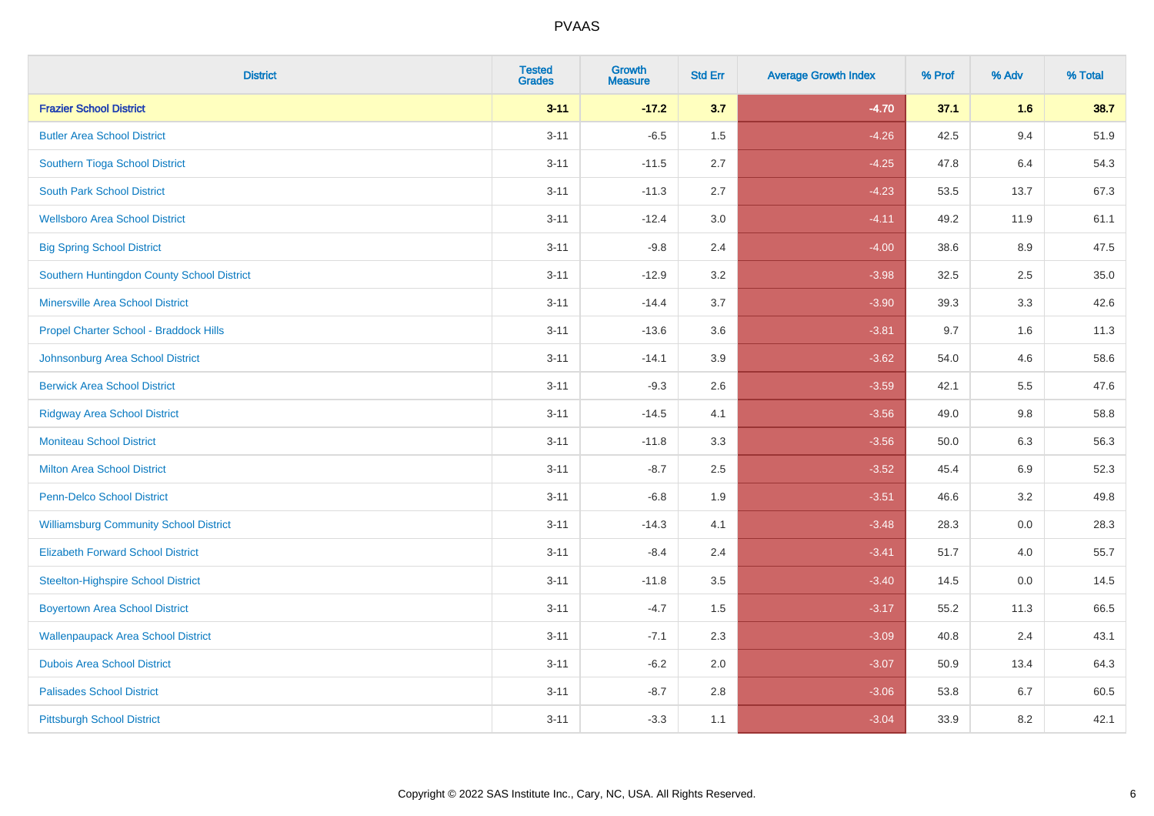| <b>District</b>                               | <b>Tested</b><br><b>Grades</b> | <b>Growth</b><br><b>Measure</b> | <b>Std Err</b> | <b>Average Growth Index</b> | % Prof | % Adv | % Total |
|-----------------------------------------------|--------------------------------|---------------------------------|----------------|-----------------------------|--------|-------|---------|
| <b>Frazier School District</b>                | $3 - 11$                       | $-17.2$                         | 3.7            | $-4.70$                     | 37.1   | 1.6   | 38.7    |
| <b>Butler Area School District</b>            | $3 - 11$                       | $-6.5$                          | 1.5            | $-4.26$                     | 42.5   | 9.4   | 51.9    |
| Southern Tioga School District                | $3 - 11$                       | $-11.5$                         | 2.7            | $-4.25$                     | 47.8   | 6.4   | 54.3    |
| <b>South Park School District</b>             | $3 - 11$                       | $-11.3$                         | 2.7            | $-4.23$                     | 53.5   | 13.7  | 67.3    |
| <b>Wellsboro Area School District</b>         | $3 - 11$                       | $-12.4$                         | 3.0            | $-4.11$                     | 49.2   | 11.9  | 61.1    |
| <b>Big Spring School District</b>             | $3 - 11$                       | $-9.8$                          | 2.4            | $-4.00$                     | 38.6   | 8.9   | 47.5    |
| Southern Huntingdon County School District    | $3 - 11$                       | $-12.9$                         | 3.2            | $-3.98$                     | 32.5   | 2.5   | 35.0    |
| <b>Minersville Area School District</b>       | $3 - 11$                       | $-14.4$                         | 3.7            | $-3.90$                     | 39.3   | 3.3   | 42.6    |
| Propel Charter School - Braddock Hills        | $3 - 11$                       | $-13.6$                         | 3.6            | $-3.81$                     | 9.7    | 1.6   | 11.3    |
| Johnsonburg Area School District              | $3 - 11$                       | $-14.1$                         | 3.9            | $-3.62$                     | 54.0   | 4.6   | 58.6    |
| <b>Berwick Area School District</b>           | $3 - 11$                       | $-9.3$                          | 2.6            | $-3.59$                     | 42.1   | 5.5   | 47.6    |
| <b>Ridgway Area School District</b>           | $3 - 11$                       | $-14.5$                         | 4.1            | $-3.56$                     | 49.0   | 9.8   | 58.8    |
| <b>Moniteau School District</b>               | $3 - 11$                       | $-11.8$                         | 3.3            | $-3.56$                     | 50.0   | 6.3   | 56.3    |
| <b>Milton Area School District</b>            | $3 - 11$                       | $-8.7$                          | 2.5            | $-3.52$                     | 45.4   | 6.9   | 52.3    |
| <b>Penn-Delco School District</b>             | $3 - 11$                       | $-6.8$                          | 1.9            | $-3.51$                     | 46.6   | 3.2   | 49.8    |
| <b>Williamsburg Community School District</b> | $3 - 11$                       | $-14.3$                         | 4.1            | $-3.48$                     | 28.3   | 0.0   | 28.3    |
| <b>Elizabeth Forward School District</b>      | $3 - 11$                       | $-8.4$                          | 2.4            | $-3.41$                     | 51.7   | 4.0   | 55.7    |
| <b>Steelton-Highspire School District</b>     | $3 - 11$                       | $-11.8$                         | 3.5            | $-3.40$                     | 14.5   | 0.0   | 14.5    |
| <b>Boyertown Area School District</b>         | $3 - 11$                       | $-4.7$                          | 1.5            | $-3.17$                     | 55.2   | 11.3  | 66.5    |
| <b>Wallenpaupack Area School District</b>     | $3 - 11$                       | $-7.1$                          | 2.3            | $-3.09$                     | 40.8   | 2.4   | 43.1    |
| <b>Dubois Area School District</b>            | $3 - 11$                       | $-6.2$                          | 2.0            | $-3.07$                     | 50.9   | 13.4  | 64.3    |
| <b>Palisades School District</b>              | $3 - 11$                       | $-8.7$                          | 2.8            | $-3.06$                     | 53.8   | 6.7   | 60.5    |
| <b>Pittsburgh School District</b>             | $3 - 11$                       | $-3.3$                          | 1.1            | $-3.04$                     | 33.9   | 8.2   | 42.1    |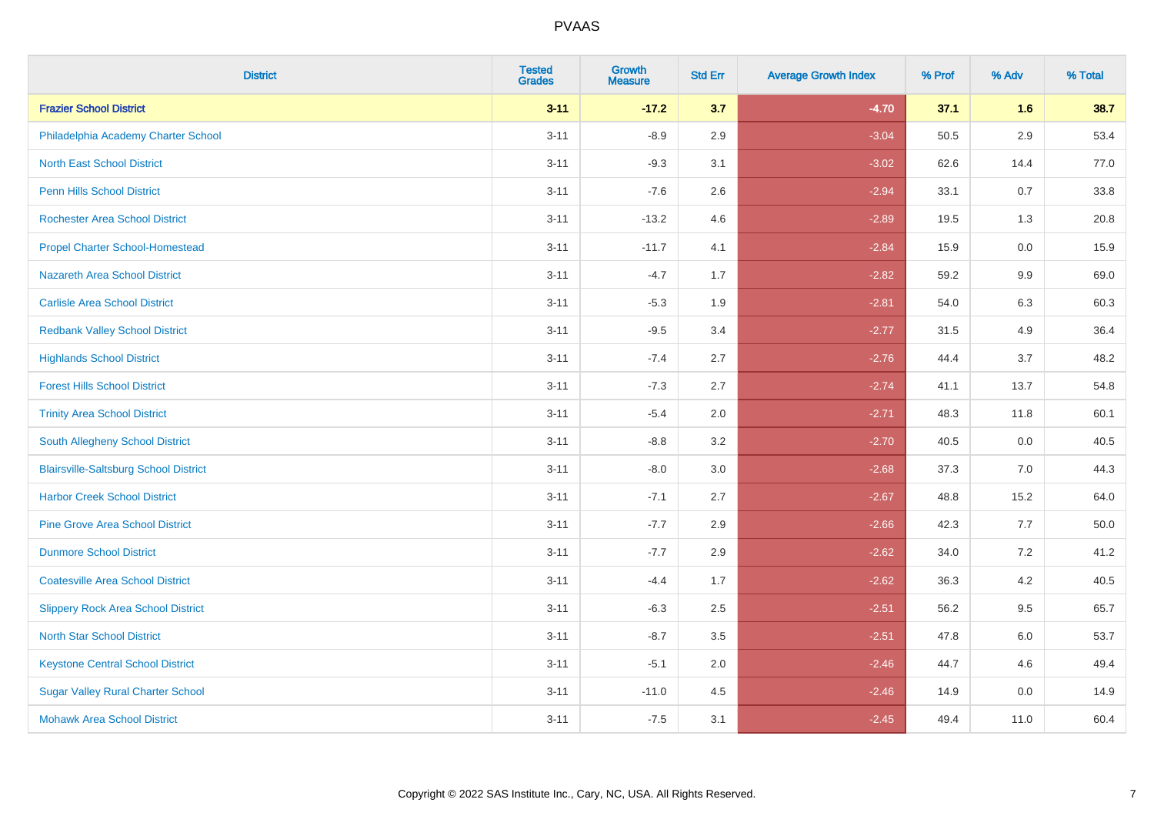| <b>District</b>                              | <b>Tested</b><br><b>Grades</b> | <b>Growth</b><br><b>Measure</b> | <b>Std Err</b> | <b>Average Growth Index</b> | % Prof | % Adv   | % Total |
|----------------------------------------------|--------------------------------|---------------------------------|----------------|-----------------------------|--------|---------|---------|
| <b>Frazier School District</b>               | $3 - 11$                       | $-17.2$                         | 3.7            | $-4.70$                     | 37.1   | 1.6     | 38.7    |
| Philadelphia Academy Charter School          | $3 - 11$                       | $-8.9$                          | 2.9            | $-3.04$                     | 50.5   | $2.9\,$ | 53.4    |
| <b>North East School District</b>            | $3 - 11$                       | $-9.3$                          | 3.1            | $-3.02$                     | 62.6   | 14.4    | 77.0    |
| <b>Penn Hills School District</b>            | $3 - 11$                       | $-7.6$                          | 2.6            | $-2.94$                     | 33.1   | 0.7     | 33.8    |
| <b>Rochester Area School District</b>        | $3 - 11$                       | $-13.2$                         | 4.6            | $-2.89$                     | 19.5   | 1.3     | 20.8    |
| <b>Propel Charter School-Homestead</b>       | $3 - 11$                       | $-11.7$                         | 4.1            | $-2.84$                     | 15.9   | 0.0     | 15.9    |
| Nazareth Area School District                | $3 - 11$                       | $-4.7$                          | 1.7            | $-2.82$                     | 59.2   | 9.9     | 69.0    |
| <b>Carlisle Area School District</b>         | $3 - 11$                       | $-5.3$                          | 1.9            | $-2.81$                     | 54.0   | 6.3     | 60.3    |
| <b>Redbank Valley School District</b>        | $3 - 11$                       | $-9.5$                          | 3.4            | $-2.77$                     | 31.5   | 4.9     | 36.4    |
| <b>Highlands School District</b>             | $3 - 11$                       | $-7.4$                          | 2.7            | $-2.76$                     | 44.4   | 3.7     | 48.2    |
| <b>Forest Hills School District</b>          | $3 - 11$                       | $-7.3$                          | 2.7            | $-2.74$                     | 41.1   | 13.7    | 54.8    |
| <b>Trinity Area School District</b>          | $3 - 11$                       | $-5.4$                          | 2.0            | $-2.71$                     | 48.3   | 11.8    | 60.1    |
| South Allegheny School District              | $3 - 11$                       | $-8.8$                          | 3.2            | $-2.70$                     | 40.5   | 0.0     | 40.5    |
| <b>Blairsville-Saltsburg School District</b> | $3 - 11$                       | $-8.0$                          | 3.0            | $-2.68$                     | 37.3   | 7.0     | 44.3    |
| <b>Harbor Creek School District</b>          | $3 - 11$                       | $-7.1$                          | 2.7            | $-2.67$                     | 48.8   | 15.2    | 64.0    |
| <b>Pine Grove Area School District</b>       | $3 - 11$                       | $-7.7$                          | 2.9            | $-2.66$                     | 42.3   | 7.7     | 50.0    |
| <b>Dunmore School District</b>               | $3 - 11$                       | $-7.7$                          | 2.9            | $-2.62$                     | 34.0   | 7.2     | 41.2    |
| <b>Coatesville Area School District</b>      | $3 - 11$                       | $-4.4$                          | 1.7            | $-2.62$                     | 36.3   | 4.2     | 40.5    |
| <b>Slippery Rock Area School District</b>    | $3 - 11$                       | $-6.3$                          | 2.5            | $-2.51$                     | 56.2   | 9.5     | 65.7    |
| <b>North Star School District</b>            | $3 - 11$                       | $-8.7$                          | 3.5            | $-2.51$                     | 47.8   | 6.0     | 53.7    |
| <b>Keystone Central School District</b>      | $3 - 11$                       | $-5.1$                          | 2.0            | $-2.46$                     | 44.7   | 4.6     | 49.4    |
| <b>Sugar Valley Rural Charter School</b>     | $3 - 11$                       | $-11.0$                         | 4.5            | $-2.46$                     | 14.9   | 0.0     | 14.9    |
| <b>Mohawk Area School District</b>           | $3 - 11$                       | $-7.5$                          | 3.1            | $-2.45$                     | 49.4   | 11.0    | 60.4    |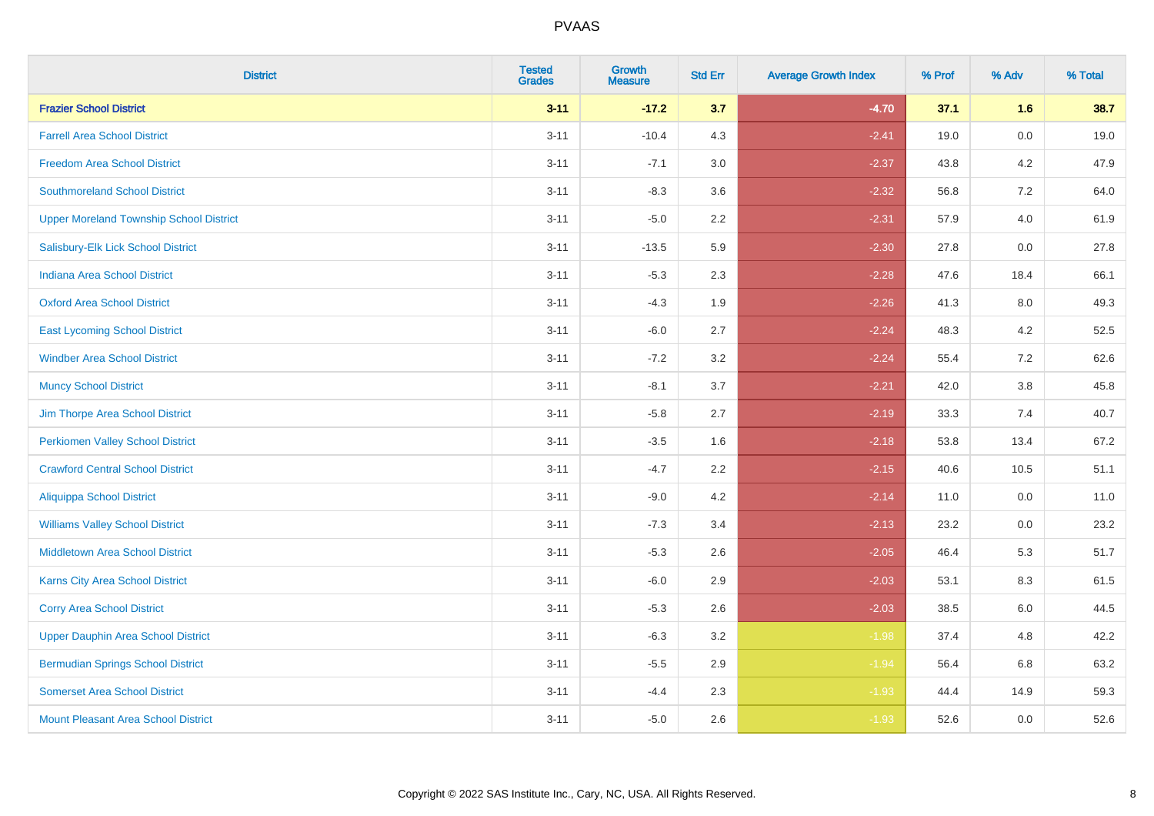| <b>District</b>                                | <b>Tested</b><br><b>Grades</b> | <b>Growth</b><br><b>Measure</b> | <b>Std Err</b> | <b>Average Growth Index</b> | % Prof | % Adv   | % Total |
|------------------------------------------------|--------------------------------|---------------------------------|----------------|-----------------------------|--------|---------|---------|
| <b>Frazier School District</b>                 | $3 - 11$                       | $-17.2$                         | 3.7            | $-4.70$                     | 37.1   | 1.6     | 38.7    |
| <b>Farrell Area School District</b>            | $3 - 11$                       | $-10.4$                         | 4.3            | $-2.41$                     | 19.0   | $0.0\,$ | 19.0    |
| <b>Freedom Area School District</b>            | $3 - 11$                       | $-7.1$                          | 3.0            | $-2.37$                     | 43.8   | 4.2     | 47.9    |
| <b>Southmoreland School District</b>           | $3 - 11$                       | $-8.3$                          | 3.6            | $-2.32$                     | 56.8   | 7.2     | 64.0    |
| <b>Upper Moreland Township School District</b> | $3 - 11$                       | $-5.0$                          | 2.2            | $-2.31$                     | 57.9   | 4.0     | 61.9    |
| Salisbury-Elk Lick School District             | $3 - 11$                       | $-13.5$                         | 5.9            | $-2.30$                     | 27.8   | 0.0     | 27.8    |
| <b>Indiana Area School District</b>            | $3 - 11$                       | $-5.3$                          | 2.3            | $-2.28$                     | 47.6   | 18.4    | 66.1    |
| <b>Oxford Area School District</b>             | $3 - 11$                       | $-4.3$                          | 1.9            | $-2.26$                     | 41.3   | 8.0     | 49.3    |
| <b>East Lycoming School District</b>           | $3 - 11$                       | $-6.0$                          | 2.7            | $-2.24$                     | 48.3   | 4.2     | 52.5    |
| <b>Windber Area School District</b>            | $3 - 11$                       | $-7.2$                          | 3.2            | $-2.24$                     | 55.4   | 7.2     | 62.6    |
| <b>Muncy School District</b>                   | $3 - 11$                       | $-8.1$                          | 3.7            | $-2.21$                     | 42.0   | $3.8\,$ | 45.8    |
| Jim Thorpe Area School District                | $3 - 11$                       | $-5.8$                          | 2.7            | $-2.19$                     | 33.3   | 7.4     | 40.7    |
| <b>Perkiomen Valley School District</b>        | $3 - 11$                       | $-3.5$                          | 1.6            | $-2.18$                     | 53.8   | 13.4    | 67.2    |
| <b>Crawford Central School District</b>        | $3 - 11$                       | $-4.7$                          | 2.2            | $-2.15$                     | 40.6   | 10.5    | 51.1    |
| Aliquippa School District                      | $3 - 11$                       | $-9.0$                          | 4.2            | $-2.14$                     | 11.0   | 0.0     | 11.0    |
| <b>Williams Valley School District</b>         | $3 - 11$                       | $-7.3$                          | 3.4            | $-2.13$                     | 23.2   | 0.0     | 23.2    |
| Middletown Area School District                | $3 - 11$                       | $-5.3$                          | 2.6            | $-2.05$                     | 46.4   | 5.3     | 51.7    |
| <b>Karns City Area School District</b>         | $3 - 11$                       | $-6.0$                          | 2.9            | $-2.03$                     | 53.1   | 8.3     | 61.5    |
| <b>Corry Area School District</b>              | $3 - 11$                       | $-5.3$                          | 2.6            | $-2.03$                     | 38.5   | 6.0     | 44.5    |
| <b>Upper Dauphin Area School District</b>      | $3 - 11$                       | $-6.3$                          | 3.2            | $-1.98$                     | 37.4   | 4.8     | 42.2    |
| <b>Bermudian Springs School District</b>       | $3 - 11$                       | $-5.5$                          | 2.9            | $-1.94$                     | 56.4   | 6.8     | 63.2    |
| <b>Somerset Area School District</b>           | $3 - 11$                       | $-4.4$                          | 2.3            | $-1.93$                     | 44.4   | 14.9    | 59.3    |
| Mount Pleasant Area School District            | $3 - 11$                       | $-5.0$                          | 2.6            | $-1.93$                     | 52.6   | 0.0     | 52.6    |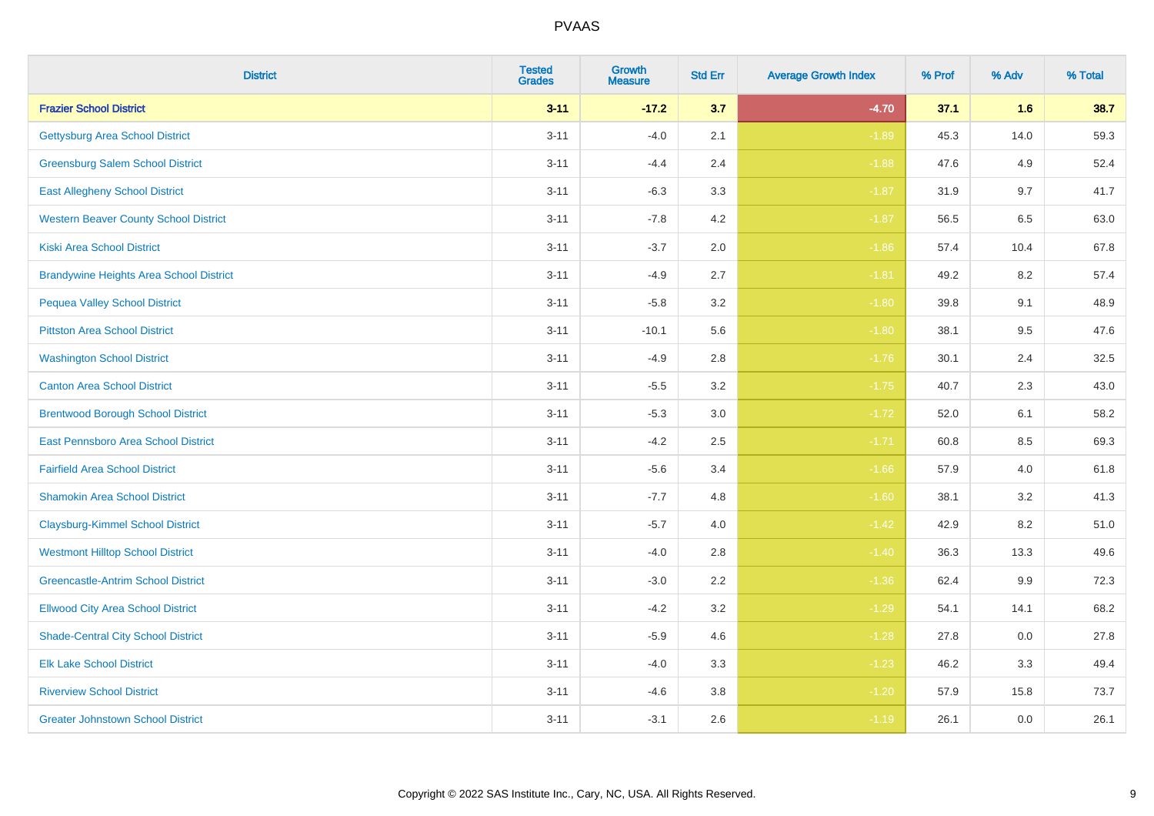| <b>District</b>                                | <b>Tested</b><br><b>Grades</b> | <b>Growth</b><br><b>Measure</b> | <b>Std Err</b> | <b>Average Growth Index</b> | % Prof | % Adv   | % Total |
|------------------------------------------------|--------------------------------|---------------------------------|----------------|-----------------------------|--------|---------|---------|
| <b>Frazier School District</b>                 | $3 - 11$                       | $-17.2$                         | 3.7            | $-4.70$                     | 37.1   | 1.6     | 38.7    |
| <b>Gettysburg Area School District</b>         | $3 - 11$                       | $-4.0$                          | 2.1            | $-1.89$                     | 45.3   | 14.0    | 59.3    |
| <b>Greensburg Salem School District</b>        | $3 - 11$                       | $-4.4$                          | 2.4            | $-1.88$                     | 47.6   | 4.9     | 52.4    |
| <b>East Allegheny School District</b>          | $3 - 11$                       | $-6.3$                          | 3.3            | $-1.87$                     | 31.9   | 9.7     | 41.7    |
| <b>Western Beaver County School District</b>   | $3 - 11$                       | $-7.8$                          | 4.2            | $-1.87$                     | 56.5   | 6.5     | 63.0    |
| <b>Kiski Area School District</b>              | $3 - 11$                       | $-3.7$                          | 2.0            | $-1.86$                     | 57.4   | 10.4    | 67.8    |
| <b>Brandywine Heights Area School District</b> | $3 - 11$                       | $-4.9$                          | 2.7            | $-1.81$                     | 49.2   | 8.2     | 57.4    |
| <b>Pequea Valley School District</b>           | $3 - 11$                       | $-5.8$                          | 3.2            | $-1.80$                     | 39.8   | 9.1     | 48.9    |
| <b>Pittston Area School District</b>           | $3 - 11$                       | $-10.1$                         | 5.6            | $-1.80$                     | 38.1   | 9.5     | 47.6    |
| <b>Washington School District</b>              | $3 - 11$                       | $-4.9$                          | 2.8            | $-1.76$                     | 30.1   | $2.4\,$ | 32.5    |
| <b>Canton Area School District</b>             | $3 - 11$                       | $-5.5$                          | 3.2            | $-1.75$                     | 40.7   | 2.3     | 43.0    |
| <b>Brentwood Borough School District</b>       | $3 - 11$                       | $-5.3$                          | 3.0            | $-1.72$                     | 52.0   | 6.1     | 58.2    |
| East Pennsboro Area School District            | $3 - 11$                       | $-4.2$                          | 2.5            | $-1.71$                     | 60.8   | 8.5     | 69.3    |
| <b>Fairfield Area School District</b>          | $3 - 11$                       | $-5.6$                          | 3.4            | $-1.66$                     | 57.9   | 4.0     | 61.8    |
| <b>Shamokin Area School District</b>           | $3 - 11$                       | $-7.7$                          | 4.8            | $-1.60$                     | 38.1   | 3.2     | 41.3    |
| <b>Claysburg-Kimmel School District</b>        | $3 - 11$                       | $-5.7$                          | 4.0            | $-1.42$                     | 42.9   | 8.2     | 51.0    |
| <b>Westmont Hilltop School District</b>        | $3 - 11$                       | $-4.0$                          | 2.8            | $-1.40$                     | 36.3   | 13.3    | 49.6    |
| <b>Greencastle-Antrim School District</b>      | $3 - 11$                       | $-3.0$                          | 2.2            | $-1.36$                     | 62.4   | 9.9     | 72.3    |
| <b>Ellwood City Area School District</b>       | $3 - 11$                       | $-4.2$                          | 3.2            | $-1.29$                     | 54.1   | 14.1    | 68.2    |
| <b>Shade-Central City School District</b>      | $3 - 11$                       | $-5.9$                          | 4.6            | $-1.28$                     | 27.8   | 0.0     | 27.8    |
| <b>Elk Lake School District</b>                | $3 - 11$                       | $-4.0$                          | 3.3            | $-1.23$                     | 46.2   | 3.3     | 49.4    |
| <b>Riverview School District</b>               | $3 - 11$                       | $-4.6$                          | 3.8            | $-1.20$                     | 57.9   | 15.8    | 73.7    |
| <b>Greater Johnstown School District</b>       | $3 - 11$                       | $-3.1$                          | 2.6            | $-1.19$                     | 26.1   | 0.0     | 26.1    |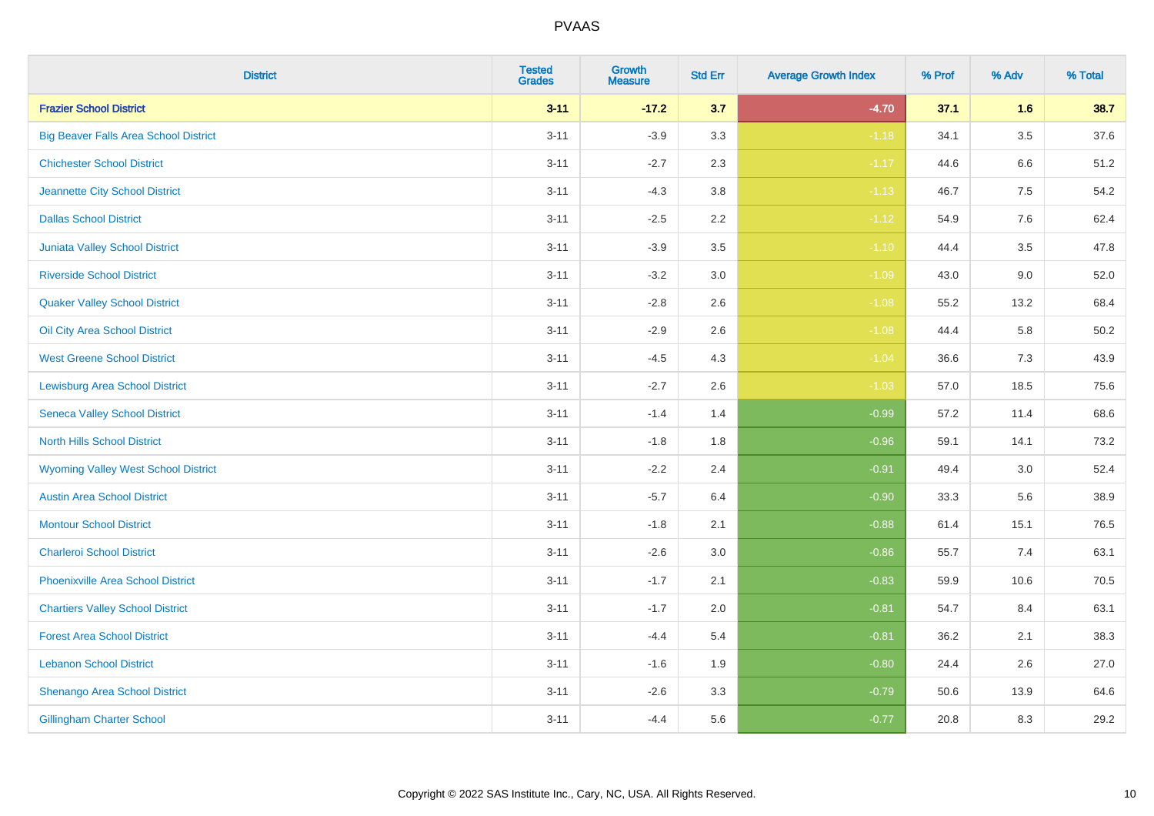| <b>District</b>                              | <b>Tested</b><br><b>Grades</b> | <b>Growth</b><br><b>Measure</b> | <b>Std Err</b> | <b>Average Growth Index</b> | % Prof | % Adv   | % Total  |
|----------------------------------------------|--------------------------------|---------------------------------|----------------|-----------------------------|--------|---------|----------|
| <b>Frazier School District</b>               | $3 - 11$                       | $-17.2$                         | 3.7            | $-4.70$                     | 37.1   | 1.6     | 38.7     |
| <b>Big Beaver Falls Area School District</b> | $3 - 11$                       | $-3.9$                          | 3.3            | $-1.18$                     | 34.1   | $3.5\,$ | 37.6     |
| <b>Chichester School District</b>            | $3 - 11$                       | $-2.7$                          | 2.3            | $-1.17$                     | 44.6   | 6.6     | 51.2     |
| Jeannette City School District               | $3 - 11$                       | $-4.3$                          | 3.8            | $-1.13$                     | 46.7   | $7.5\,$ | 54.2     |
| <b>Dallas School District</b>                | $3 - 11$                       | $-2.5$                          | 2.2            | $-1.12$                     | 54.9   | 7.6     | 62.4     |
| <b>Juniata Valley School District</b>        | $3 - 11$                       | $-3.9$                          | 3.5            | $-1.10$                     | 44.4   | 3.5     | 47.8     |
| <b>Riverside School District</b>             | $3 - 11$                       | $-3.2$                          | 3.0            | $-1.09$                     | 43.0   | 9.0     | 52.0     |
| <b>Quaker Valley School District</b>         | $3 - 11$                       | $-2.8$                          | 2.6            | $-1.08$                     | 55.2   | 13.2    | 68.4     |
| Oil City Area School District                | $3 - 11$                       | $-2.9$                          | 2.6            | $-1.08$                     | 44.4   | 5.8     | $50.2\,$ |
| <b>West Greene School District</b>           | $3 - 11$                       | $-4.5$                          | 4.3            | $-1.04$                     | 36.6   | 7.3     | 43.9     |
| <b>Lewisburg Area School District</b>        | $3 - 11$                       | $-2.7$                          | 2.6            | $-1.03$                     | 57.0   | 18.5    | 75.6     |
| <b>Seneca Valley School District</b>         | $3 - 11$                       | $-1.4$                          | 1.4            | $-0.99$                     | 57.2   | 11.4    | 68.6     |
| <b>North Hills School District</b>           | $3 - 11$                       | $-1.8$                          | 1.8            | $-0.96$                     | 59.1   | 14.1    | 73.2     |
| <b>Wyoming Valley West School District</b>   | $3 - 11$                       | $-2.2$                          | 2.4            | $-0.91$                     | 49.4   | 3.0     | 52.4     |
| <b>Austin Area School District</b>           | $3 - 11$                       | $-5.7$                          | 6.4            | $-0.90$                     | 33.3   | 5.6     | 38.9     |
| <b>Montour School District</b>               | $3 - 11$                       | $-1.8$                          | 2.1            | $-0.88$                     | 61.4   | 15.1    | 76.5     |
| <b>Charleroi School District</b>             | $3 - 11$                       | $-2.6$                          | 3.0            | $-0.86$                     | 55.7   | 7.4     | 63.1     |
| <b>Phoenixville Area School District</b>     | $3 - 11$                       | $-1.7$                          | 2.1            | $-0.83$                     | 59.9   | 10.6    | 70.5     |
| <b>Chartiers Valley School District</b>      | $3 - 11$                       | $-1.7$                          | 2.0            | $-0.81$                     | 54.7   | 8.4     | 63.1     |
| <b>Forest Area School District</b>           | $3 - 11$                       | $-4.4$                          | 5.4            | $-0.81$                     | 36.2   | 2.1     | 38.3     |
| <b>Lebanon School District</b>               | $3 - 11$                       | $-1.6$                          | 1.9            | $-0.80$                     | 24.4   | 2.6     | 27.0     |
| Shenango Area School District                | $3 - 11$                       | $-2.6$                          | 3.3            | $-0.79$                     | 50.6   | 13.9    | 64.6     |
| <b>Gillingham Charter School</b>             | $3 - 11$                       | $-4.4$                          | 5.6            | $-0.77$                     | 20.8   | 8.3     | 29.2     |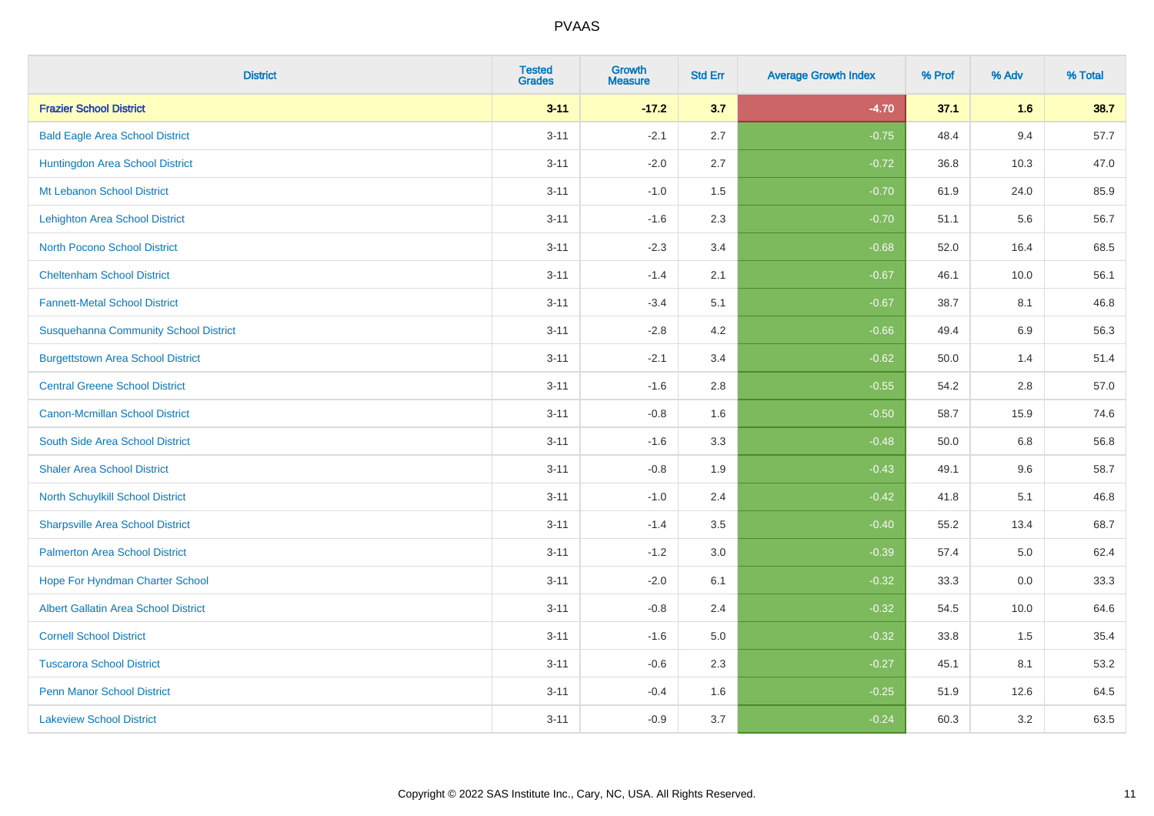| <b>District</b>                              | <b>Tested</b><br><b>Grades</b> | <b>Growth</b><br><b>Measure</b> | <b>Std Err</b> | <b>Average Growth Index</b> | % Prof | % Adv | % Total |
|----------------------------------------------|--------------------------------|---------------------------------|----------------|-----------------------------|--------|-------|---------|
| <b>Frazier School District</b>               | $3 - 11$                       | $-17.2$                         | 3.7            | $-4.70$                     | 37.1   | 1.6   | 38.7    |
| <b>Bald Eagle Area School District</b>       | $3 - 11$                       | $-2.1$                          | 2.7            | $-0.75$                     | 48.4   | 9.4   | 57.7    |
| Huntingdon Area School District              | $3 - 11$                       | $-2.0$                          | 2.7            | $-0.72$                     | 36.8   | 10.3  | 47.0    |
| Mt Lebanon School District                   | $3 - 11$                       | $-1.0$                          | 1.5            | $-0.70$                     | 61.9   | 24.0  | 85.9    |
| <b>Lehighton Area School District</b>        | $3 - 11$                       | $-1.6$                          | 2.3            | $-0.70$                     | 51.1   | 5.6   | 56.7    |
| <b>North Pocono School District</b>          | $3 - 11$                       | $-2.3$                          | 3.4            | $-0.68$                     | 52.0   | 16.4  | 68.5    |
| <b>Cheltenham School District</b>            | $3 - 11$                       | $-1.4$                          | 2.1            | $-0.67$                     | 46.1   | 10.0  | 56.1    |
| <b>Fannett-Metal School District</b>         | $3 - 11$                       | $-3.4$                          | 5.1            | $-0.67$                     | 38.7   | 8.1   | 46.8    |
| <b>Susquehanna Community School District</b> | $3 - 11$                       | $-2.8$                          | 4.2            | $-0.66$                     | 49.4   | 6.9   | 56.3    |
| <b>Burgettstown Area School District</b>     | $3 - 11$                       | $-2.1$                          | 3.4            | $-0.62$                     | 50.0   | 1.4   | 51.4    |
| <b>Central Greene School District</b>        | $3 - 11$                       | $-1.6$                          | 2.8            | $-0.55$                     | 54.2   | 2.8   | 57.0    |
| <b>Canon-Mcmillan School District</b>        | $3 - 11$                       | $-0.8$                          | 1.6            | $-0.50$                     | 58.7   | 15.9  | 74.6    |
| South Side Area School District              | $3 - 11$                       | $-1.6$                          | 3.3            | $-0.48$                     | 50.0   | 6.8   | 56.8    |
| <b>Shaler Area School District</b>           | $3 - 11$                       | $-0.8$                          | 1.9            | $-0.43$                     | 49.1   | 9.6   | 58.7    |
| North Schuylkill School District             | $3 - 11$                       | $-1.0$                          | 2.4            | $-0.42$                     | 41.8   | 5.1   | 46.8    |
| <b>Sharpsville Area School District</b>      | $3 - 11$                       | $-1.4$                          | 3.5            | $-0.40$                     | 55.2   | 13.4  | 68.7    |
| <b>Palmerton Area School District</b>        | $3 - 11$                       | $-1.2$                          | 3.0            | $-0.39$                     | 57.4   | 5.0   | 62.4    |
| Hope For Hyndman Charter School              | $3 - 11$                       | $-2.0$                          | 6.1            | $-0.32$                     | 33.3   | 0.0   | 33.3    |
| <b>Albert Gallatin Area School District</b>  | $3 - 11$                       | $-0.8$                          | 2.4            | $-0.32$                     | 54.5   | 10.0  | 64.6    |
| <b>Cornell School District</b>               | $3 - 11$                       | $-1.6$                          | 5.0            | $-0.32$                     | 33.8   | 1.5   | 35.4    |
| <b>Tuscarora School District</b>             | $3 - 11$                       | $-0.6$                          | 2.3            | $-0.27$                     | 45.1   | 8.1   | 53.2    |
| <b>Penn Manor School District</b>            | $3 - 11$                       | $-0.4$                          | 1.6            | $-0.25$                     | 51.9   | 12.6  | 64.5    |
| <b>Lakeview School District</b>              | $3 - 11$                       | $-0.9$                          | 3.7            | $-0.24$                     | 60.3   | 3.2   | 63.5    |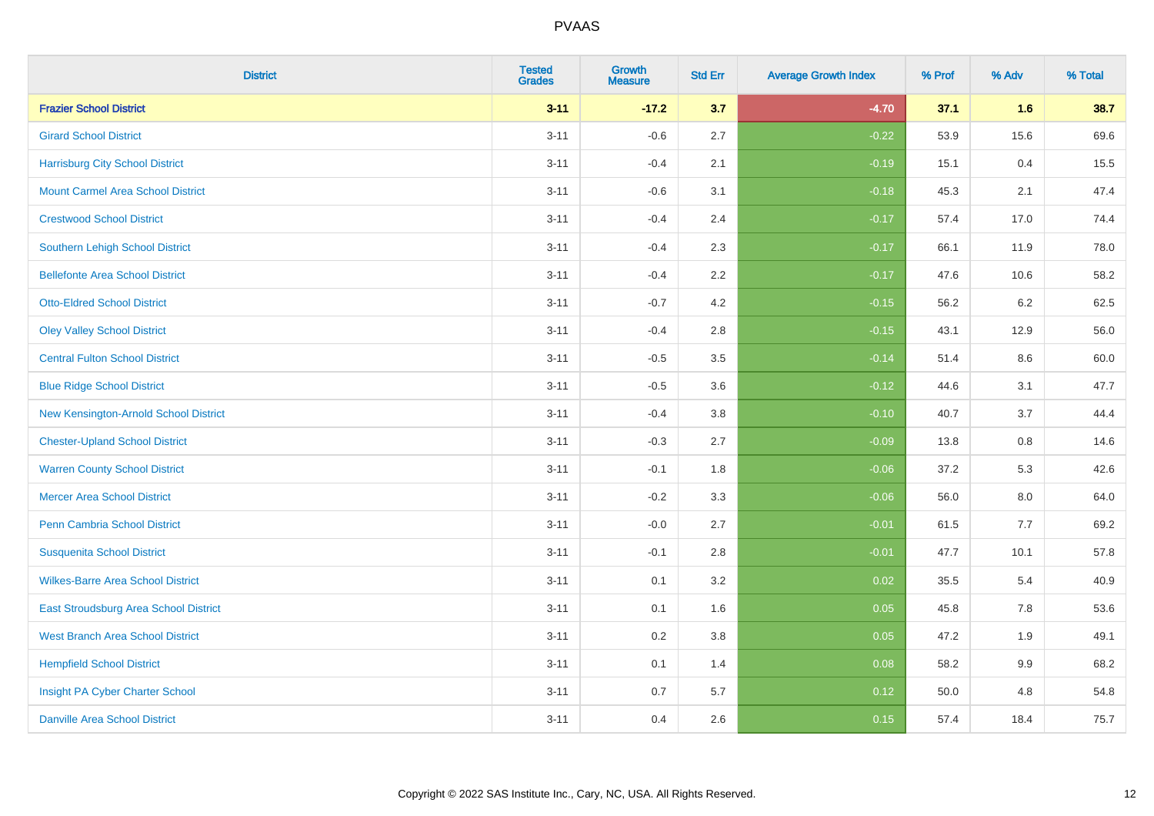| <b>District</b>                          | <b>Tested</b><br><b>Grades</b> | <b>Growth</b><br><b>Measure</b> | <b>Std Err</b> | <b>Average Growth Index</b> | % Prof | % Adv   | % Total |
|------------------------------------------|--------------------------------|---------------------------------|----------------|-----------------------------|--------|---------|---------|
| <b>Frazier School District</b>           | $3 - 11$                       | $-17.2$                         | 3.7            | $-4.70$                     | 37.1   | 1.6     | 38.7    |
| <b>Girard School District</b>            | $3 - 11$                       | $-0.6$                          | 2.7            | $-0.22$                     | 53.9   | 15.6    | 69.6    |
| <b>Harrisburg City School District</b>   | $3 - 11$                       | $-0.4$                          | 2.1            | $-0.19$                     | 15.1   | 0.4     | 15.5    |
| <b>Mount Carmel Area School District</b> | $3 - 11$                       | $-0.6$                          | 3.1            | $-0.18$                     | 45.3   | 2.1     | 47.4    |
| <b>Crestwood School District</b>         | $3 - 11$                       | $-0.4$                          | 2.4            | $-0.17$                     | 57.4   | 17.0    | 74.4    |
| <b>Southern Lehigh School District</b>   | $3 - 11$                       | $-0.4$                          | 2.3            | $-0.17$                     | 66.1   | 11.9    | 78.0    |
| <b>Bellefonte Area School District</b>   | $3 - 11$                       | $-0.4$                          | 2.2            | $-0.17$                     | 47.6   | 10.6    | 58.2    |
| <b>Otto-Eldred School District</b>       | $3 - 11$                       | $-0.7$                          | 4.2            | $-0.15$                     | 56.2   | 6.2     | 62.5    |
| <b>Oley Valley School District</b>       | $3 - 11$                       | $-0.4$                          | 2.8            | $-0.15$                     | 43.1   | 12.9    | 56.0    |
| <b>Central Fulton School District</b>    | $3 - 11$                       | $-0.5$                          | 3.5            | $-0.14$                     | 51.4   | 8.6     | 60.0    |
| <b>Blue Ridge School District</b>        | $3 - 11$                       | $-0.5$                          | 3.6            | $-0.12$                     | 44.6   | 3.1     | 47.7    |
| New Kensington-Arnold School District    | $3 - 11$                       | $-0.4$                          | 3.8            | $-0.10$                     | 40.7   | 3.7     | 44.4    |
| <b>Chester-Upland School District</b>    | $3 - 11$                       | $-0.3$                          | 2.7            | $-0.09$                     | 13.8   | $0.8\,$ | 14.6    |
| <b>Warren County School District</b>     | $3 - 11$                       | $-0.1$                          | 1.8            | $-0.06$                     | 37.2   | 5.3     | 42.6    |
| <b>Mercer Area School District</b>       | $3 - 11$                       | $-0.2$                          | 3.3            | $-0.06$                     | 56.0   | $8.0\,$ | 64.0    |
| Penn Cambria School District             | $3 - 11$                       | $-0.0$                          | 2.7            | $-0.01$                     | 61.5   | 7.7     | 69.2    |
| <b>Susquenita School District</b>        | $3 - 11$                       | $-0.1$                          | 2.8            | $-0.01$                     | 47.7   | 10.1    | 57.8    |
| <b>Wilkes-Barre Area School District</b> | $3 - 11$                       | 0.1                             | 3.2            | 0.02                        | 35.5   | 5.4     | 40.9    |
| East Stroudsburg Area School District    | $3 - 11$                       | 0.1                             | 1.6            | 0.05                        | 45.8   | 7.8     | 53.6    |
| <b>West Branch Area School District</b>  | $3 - 11$                       | 0.2                             | 3.8            | 0.05                        | 47.2   | 1.9     | 49.1    |
| <b>Hempfield School District</b>         | $3 - 11$                       | 0.1                             | 1.4            | 0.08                        | 58.2   | 9.9     | 68.2    |
| Insight PA Cyber Charter School          | $3 - 11$                       | 0.7                             | 5.7            | 0.12                        | 50.0   | 4.8     | 54.8    |
| <b>Danville Area School District</b>     | $3 - 11$                       | 0.4                             | 2.6            | 0.15                        | 57.4   | 18.4    | 75.7    |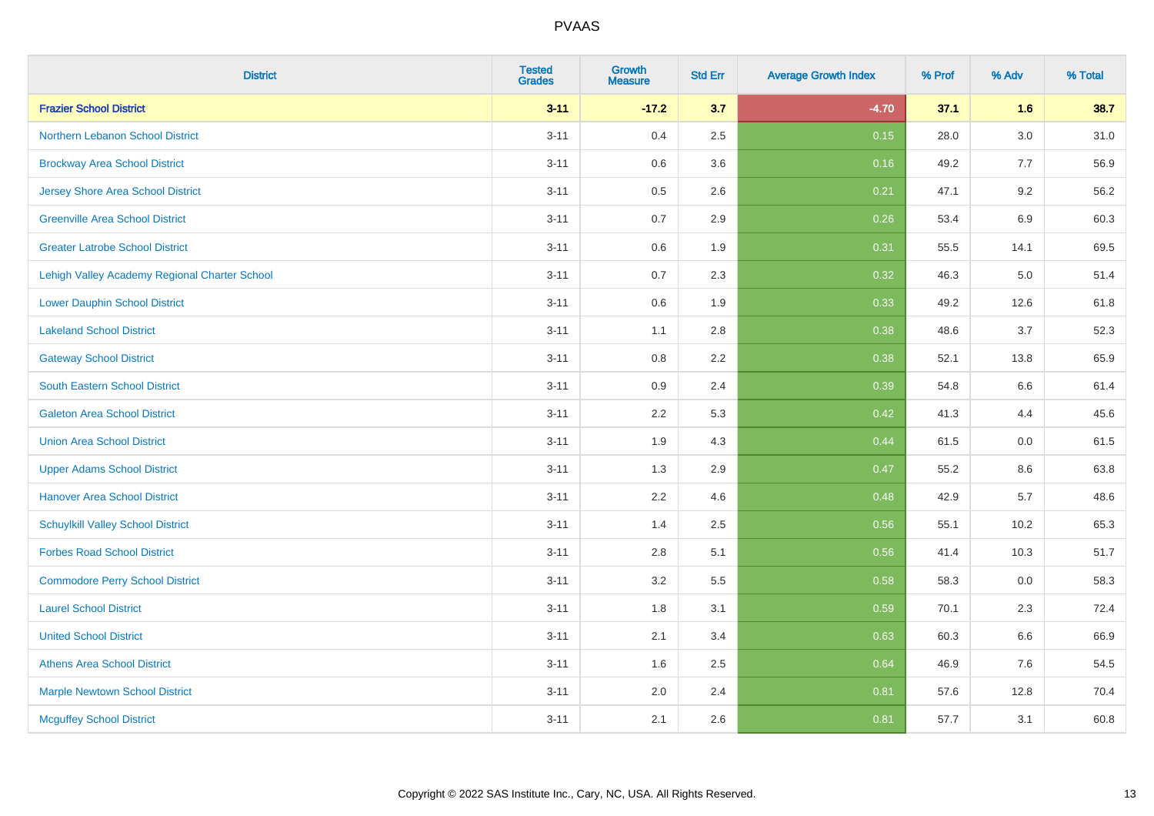| <b>District</b>                               | <b>Tested</b><br><b>Grades</b> | <b>Growth</b><br><b>Measure</b> | <b>Std Err</b> | <b>Average Growth Index</b> | % Prof | % Adv   | % Total |
|-----------------------------------------------|--------------------------------|---------------------------------|----------------|-----------------------------|--------|---------|---------|
| <b>Frazier School District</b>                | $3 - 11$                       | $-17.2$                         | 3.7            | $-4.70$                     | 37.1   | 1.6     | 38.7    |
| Northern Lebanon School District              | $3 - 11$                       | 0.4                             | 2.5            | 0.15                        | 28.0   | $3.0\,$ | 31.0    |
| <b>Brockway Area School District</b>          | $3 - 11$                       | 0.6                             | 3.6            | 0.16                        | 49.2   | 7.7     | 56.9    |
| <b>Jersey Shore Area School District</b>      | $3 - 11$                       | 0.5                             | 2.6            | 0.21                        | 47.1   | 9.2     | 56.2    |
| <b>Greenville Area School District</b>        | $3 - 11$                       | 0.7                             | 2.9            | 0.26                        | 53.4   | $6.9\,$ | 60.3    |
| <b>Greater Latrobe School District</b>        | $3 - 11$                       | 0.6                             | 1.9            | 0.31                        | 55.5   | 14.1    | 69.5    |
| Lehigh Valley Academy Regional Charter School | $3 - 11$                       | 0.7                             | 2.3            | 0.32                        | 46.3   | 5.0     | 51.4    |
| <b>Lower Dauphin School District</b>          | $3 - 11$                       | 0.6                             | 1.9            | 0.33                        | 49.2   | 12.6    | 61.8    |
| <b>Lakeland School District</b>               | $3 - 11$                       | 1.1                             | 2.8            | 0.38                        | 48.6   | 3.7     | 52.3    |
| <b>Gateway School District</b>                | $3 - 11$                       | 0.8                             | $2.2\,$        | 0.38                        | 52.1   | 13.8    | 65.9    |
| South Eastern School District                 | $3 - 11$                       | 0.9                             | 2.4            | 0.39                        | 54.8   | 6.6     | 61.4    |
| <b>Galeton Area School District</b>           | $3 - 11$                       | 2.2                             | 5.3            | 0.42                        | 41.3   | 4.4     | 45.6    |
| <b>Union Area School District</b>             | $3 - 11$                       | 1.9                             | 4.3            | 0.44                        | 61.5   | $0.0\,$ | 61.5    |
| <b>Upper Adams School District</b>            | $3 - 11$                       | 1.3                             | 2.9            | 0.47                        | 55.2   | 8.6     | 63.8    |
| <b>Hanover Area School District</b>           | $3 - 11$                       | 2.2                             | 4.6            | 0.48                        | 42.9   | 5.7     | 48.6    |
| <b>Schuylkill Valley School District</b>      | $3 - 11$                       | 1.4                             | 2.5            | 0.56                        | 55.1   | 10.2    | 65.3    |
| <b>Forbes Road School District</b>            | $3 - 11$                       | 2.8                             | 5.1            | 0.56                        | 41.4   | 10.3    | 51.7    |
| <b>Commodore Perry School District</b>        | $3 - 11$                       | 3.2                             | 5.5            | 0.58                        | 58.3   | 0.0     | 58.3    |
| <b>Laurel School District</b>                 | $3 - 11$                       | 1.8                             | 3.1            | 0.59                        | 70.1   | 2.3     | 72.4    |
| <b>United School District</b>                 | $3 - 11$                       | 2.1                             | 3.4            | 0.63                        | 60.3   | 6.6     | 66.9    |
| <b>Athens Area School District</b>            | $3 - 11$                       | 1.6                             | 2.5            | 0.64                        | 46.9   | 7.6     | 54.5    |
| <b>Marple Newtown School District</b>         | $3 - 11$                       | 2.0                             | 2.4            | 0.81                        | 57.6   | 12.8    | 70.4    |
| <b>Mcguffey School District</b>               | $3 - 11$                       | 2.1                             | 2.6            | 0.81                        | 57.7   | 3.1     | 60.8    |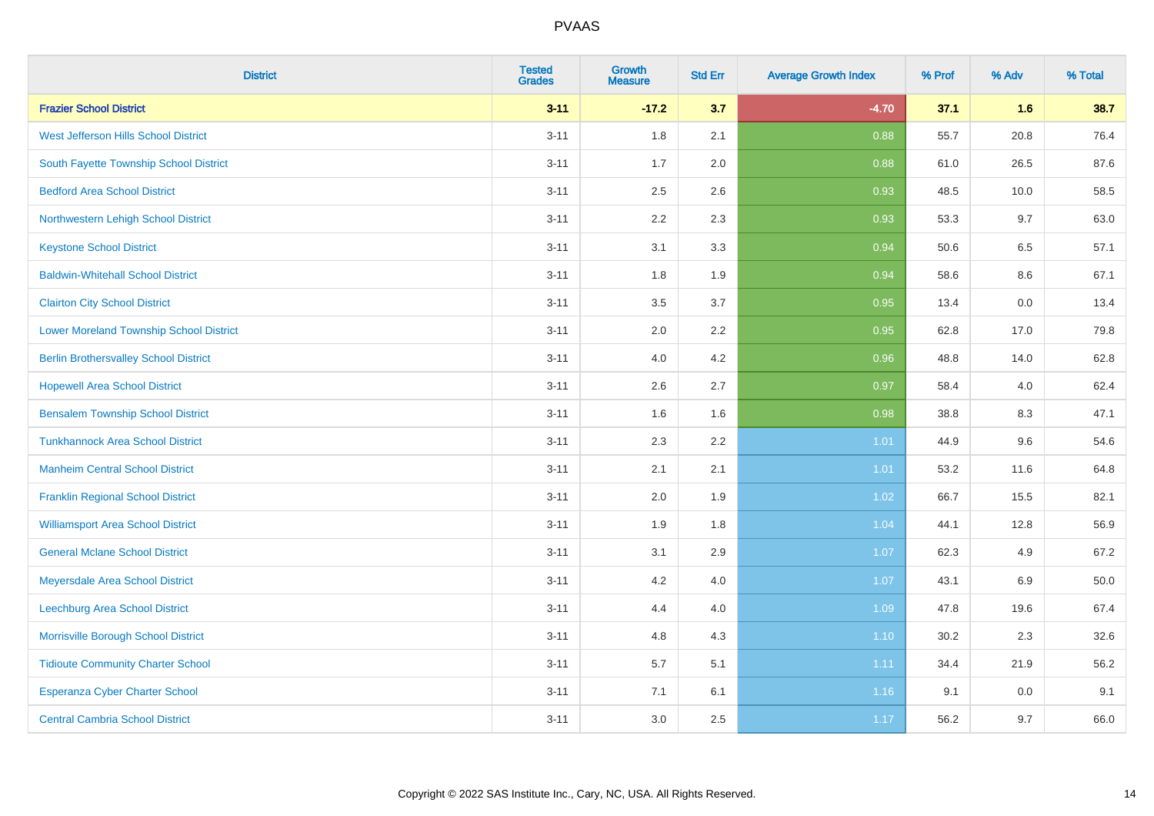| <b>District</b>                                | <b>Tested</b><br><b>Grades</b> | <b>Growth</b><br><b>Measure</b> | <b>Std Err</b> | <b>Average Growth Index</b> | % Prof | % Adv   | % Total |
|------------------------------------------------|--------------------------------|---------------------------------|----------------|-----------------------------|--------|---------|---------|
| <b>Frazier School District</b>                 | $3 - 11$                       | $-17.2$                         | 3.7            | $-4.70$                     | 37.1   | 1.6     | 38.7    |
| West Jefferson Hills School District           | $3 - 11$                       | 1.8                             | 2.1            | 0.88                        | 55.7   | 20.8    | 76.4    |
| South Fayette Township School District         | $3 - 11$                       | 1.7                             | 2.0            | 0.88                        | 61.0   | 26.5    | 87.6    |
| <b>Bedford Area School District</b>            | $3 - 11$                       | 2.5                             | 2.6            | 0.93                        | 48.5   | 10.0    | 58.5    |
| Northwestern Lehigh School District            | $3 - 11$                       | 2.2                             | 2.3            | 0.93                        | 53.3   | 9.7     | 63.0    |
| <b>Keystone School District</b>                | $3 - 11$                       | 3.1                             | 3.3            | 0.94                        | 50.6   | 6.5     | 57.1    |
| <b>Baldwin-Whitehall School District</b>       | $3 - 11$                       | 1.8                             | 1.9            | 0.94                        | 58.6   | $8.6\,$ | 67.1    |
| <b>Clairton City School District</b>           | $3 - 11$                       | 3.5                             | 3.7            | 0.95                        | 13.4   | 0.0     | 13.4    |
| <b>Lower Moreland Township School District</b> | $3 - 11$                       | 2.0                             | 2.2            | 0.95                        | 62.8   | 17.0    | 79.8    |
| <b>Berlin Brothersvalley School District</b>   | $3 - 11$                       | 4.0                             | 4.2            | 0.96                        | 48.8   | 14.0    | 62.8    |
| <b>Hopewell Area School District</b>           | $3 - 11$                       | 2.6                             | 2.7            | 0.97                        | 58.4   | 4.0     | 62.4    |
| <b>Bensalem Township School District</b>       | $3 - 11$                       | 1.6                             | 1.6            | 0.98                        | 38.8   | 8.3     | 47.1    |
| <b>Tunkhannock Area School District</b>        | $3 - 11$                       | 2.3                             | 2.2            | 1.01                        | 44.9   | 9.6     | 54.6    |
| <b>Manheim Central School District</b>         | $3 - 11$                       | 2.1                             | 2.1            | 1.01                        | 53.2   | 11.6    | 64.8    |
| <b>Franklin Regional School District</b>       | $3 - 11$                       | 2.0                             | 1.9            | 1.02                        | 66.7   | 15.5    | 82.1    |
| <b>Williamsport Area School District</b>       | $3 - 11$                       | 1.9                             | 1.8            | 1.04                        | 44.1   | 12.8    | 56.9    |
| <b>General Mclane School District</b>          | $3 - 11$                       | 3.1                             | 2.9            | 1.07                        | 62.3   | 4.9     | 67.2    |
| Meyersdale Area School District                | $3 - 11$                       | 4.2                             | 4.0            | 1.07                        | 43.1   | $6.9\,$ | 50.0    |
| <b>Leechburg Area School District</b>          | $3 - 11$                       | 4.4                             | 4.0            | 1.09                        | 47.8   | 19.6    | 67.4    |
| Morrisville Borough School District            | $3 - 11$                       | 4.8                             | 4.3            | 1.10                        | 30.2   | 2.3     | 32.6    |
| <b>Tidioute Community Charter School</b>       | $3 - 11$                       | 5.7                             | 5.1            | 1.11                        | 34.4   | 21.9    | 56.2    |
| Esperanza Cyber Charter School                 | $3 - 11$                       | 7.1                             | 6.1            | 1.16                        | 9.1    | 0.0     | 9.1     |
| <b>Central Cambria School District</b>         | $3 - 11$                       | 3.0                             | 2.5            | 1.17                        | 56.2   | 9.7     | 66.0    |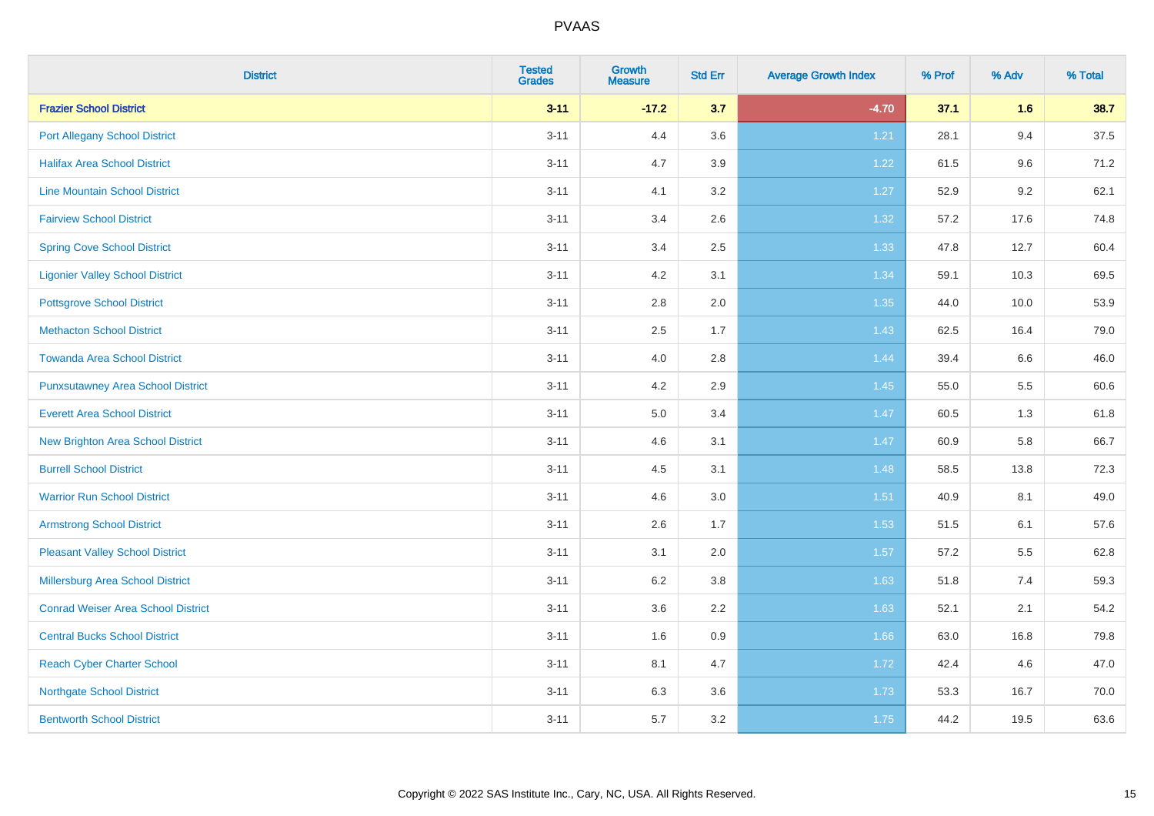| <b>District</b>                           | <b>Tested</b><br><b>Grades</b> | <b>Growth</b><br><b>Measure</b> | <b>Std Err</b> | <b>Average Growth Index</b> | % Prof | % Adv | % Total |
|-------------------------------------------|--------------------------------|---------------------------------|----------------|-----------------------------|--------|-------|---------|
| <b>Frazier School District</b>            | $3 - 11$                       | $-17.2$                         | 3.7            | $-4.70$                     | 37.1   | 1.6   | 38.7    |
| <b>Port Allegany School District</b>      | $3 - 11$                       | 4.4                             | 3.6            | 1.21                        | 28.1   | 9.4   | 37.5    |
| <b>Halifax Area School District</b>       | $3 - 11$                       | 4.7                             | 3.9            | 1.22                        | 61.5   | 9.6   | 71.2    |
| <b>Line Mountain School District</b>      | $3 - 11$                       | 4.1                             | 3.2            | 1.27                        | 52.9   | 9.2   | 62.1    |
| <b>Fairview School District</b>           | $3 - 11$                       | 3.4                             | 2.6            | 1.32                        | 57.2   | 17.6  | 74.8    |
| <b>Spring Cove School District</b>        | $3 - 11$                       | 3.4                             | 2.5            | 1.33                        | 47.8   | 12.7  | 60.4    |
| <b>Ligonier Valley School District</b>    | $3 - 11$                       | 4.2                             | 3.1            | 1.34                        | 59.1   | 10.3  | 69.5    |
| <b>Pottsgrove School District</b>         | $3 - 11$                       | $2.8\,$                         | 2.0            | 1.35                        | 44.0   | 10.0  | 53.9    |
| <b>Methacton School District</b>          | $3 - 11$                       | 2.5                             | 1.7            | 1.43                        | 62.5   | 16.4  | 79.0    |
| <b>Towanda Area School District</b>       | $3 - 11$                       | 4.0                             | 2.8            | 1.44                        | 39.4   | 6.6   | 46.0    |
| <b>Punxsutawney Area School District</b>  | $3 - 11$                       | 4.2                             | 2.9            | 1.45                        | 55.0   | 5.5   | 60.6    |
| <b>Everett Area School District</b>       | $3 - 11$                       | 5.0                             | 3.4            | 1.47                        | 60.5   | 1.3   | 61.8    |
| New Brighton Area School District         | $3 - 11$                       | 4.6                             | 3.1            | 1.47                        | 60.9   | 5.8   | 66.7    |
| <b>Burrell School District</b>            | $3 - 11$                       | 4.5                             | 3.1            | 1.48                        | 58.5   | 13.8  | 72.3    |
| <b>Warrior Run School District</b>        | $3 - 11$                       | 4.6                             | 3.0            | 1.51                        | 40.9   | 8.1   | 49.0    |
| <b>Armstrong School District</b>          | $3 - 11$                       | 2.6                             | 1.7            | 1.53                        | 51.5   | 6.1   | 57.6    |
| <b>Pleasant Valley School District</b>    | $3 - 11$                       | 3.1                             | 2.0            | 1.57                        | 57.2   | 5.5   | 62.8    |
| Millersburg Area School District          | $3 - 11$                       | 6.2                             | 3.8            | 1.63                        | 51.8   | 7.4   | 59.3    |
| <b>Conrad Weiser Area School District</b> | $3 - 11$                       | 3.6                             | 2.2            | 1.63                        | 52.1   | 2.1   | 54.2    |
| <b>Central Bucks School District</b>      | $3 - 11$                       | 1.6                             | 0.9            | 1.66                        | 63.0   | 16.8  | 79.8    |
| <b>Reach Cyber Charter School</b>         | $3 - 11$                       | 8.1                             | 4.7            | 1.72                        | 42.4   | 4.6   | 47.0    |
| <b>Northgate School District</b>          | $3 - 11$                       | 6.3                             | 3.6            | 1.73                        | 53.3   | 16.7  | 70.0    |
| <b>Bentworth School District</b>          | $3 - 11$                       | 5.7                             | 3.2            | 1.75                        | 44.2   | 19.5  | 63.6    |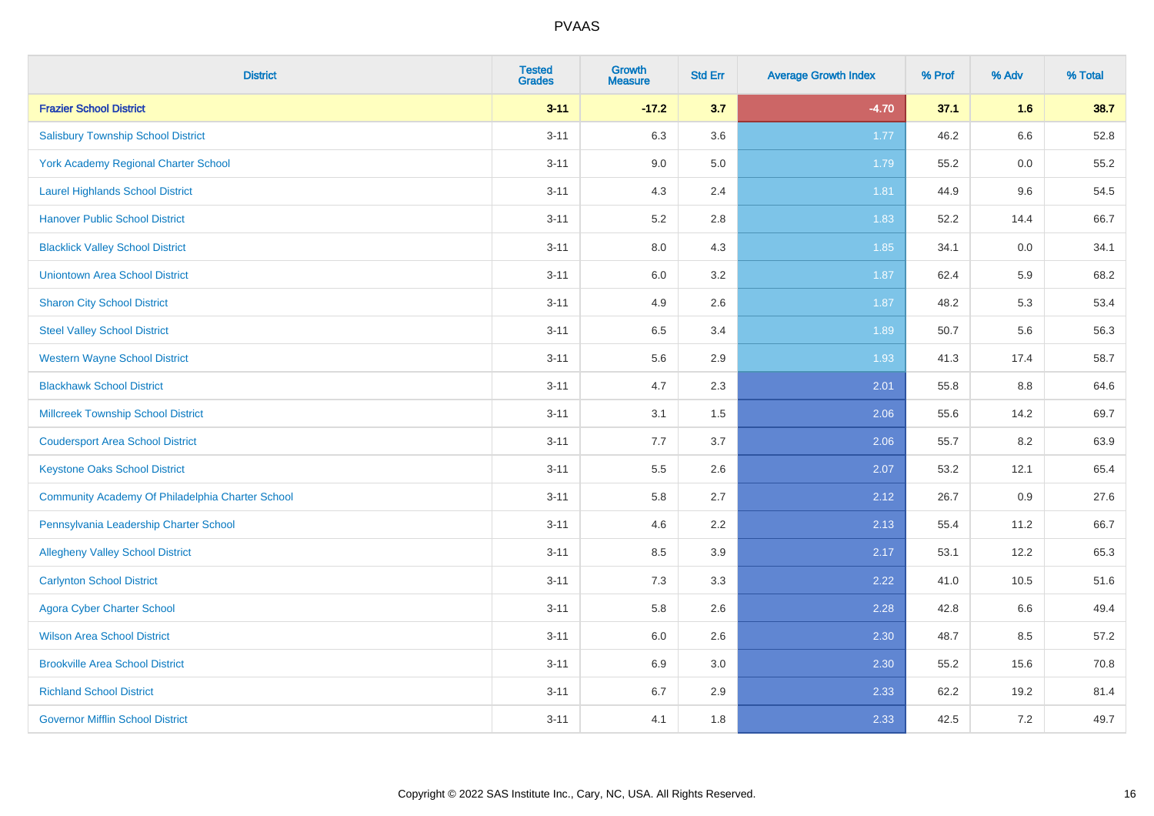| <b>District</b>                                  | <b>Tested</b><br><b>Grades</b> | <b>Growth</b><br><b>Measure</b> | <b>Std Err</b> | <b>Average Growth Index</b> | % Prof | % Adv | % Total |
|--------------------------------------------------|--------------------------------|---------------------------------|----------------|-----------------------------|--------|-------|---------|
| <b>Frazier School District</b>                   | $3 - 11$                       | $-17.2$                         | 3.7            | $-4.70$                     | 37.1   | 1.6   | 38.7    |
| <b>Salisbury Township School District</b>        | $3 - 11$                       | 6.3                             | 3.6            | 1.77                        | 46.2   | 6.6   | 52.8    |
| York Academy Regional Charter School             | $3 - 11$                       | 9.0                             | 5.0            | 1.79                        | 55.2   | 0.0   | 55.2    |
| <b>Laurel Highlands School District</b>          | $3 - 11$                       | 4.3                             | 2.4            | 1.81                        | 44.9   | 9.6   | 54.5    |
| <b>Hanover Public School District</b>            | $3 - 11$                       | 5.2                             | 2.8            | 1.83                        | 52.2   | 14.4  | 66.7    |
| <b>Blacklick Valley School District</b>          | $3 - 11$                       | $8.0\,$                         | 4.3            | 1.85                        | 34.1   | 0.0   | 34.1    |
| <b>Uniontown Area School District</b>            | $3 - 11$                       | $6.0\,$                         | 3.2            | 1.87                        | 62.4   | 5.9   | 68.2    |
| <b>Sharon City School District</b>               | $3 - 11$                       | 4.9                             | 2.6            | 1.87                        | 48.2   | 5.3   | 53.4    |
| <b>Steel Valley School District</b>              | $3 - 11$                       | 6.5                             | 3.4            | 1.89                        | 50.7   | 5.6   | 56.3    |
| <b>Western Wayne School District</b>             | $3 - 11$                       | $5.6\,$                         | 2.9            | 1.93                        | 41.3   | 17.4  | 58.7    |
| <b>Blackhawk School District</b>                 | $3 - 11$                       | 4.7                             | 2.3            | 2.01                        | 55.8   | 8.8   | 64.6    |
| Millcreek Township School District               | $3 - 11$                       | 3.1                             | 1.5            | 2.06                        | 55.6   | 14.2  | 69.7    |
| <b>Coudersport Area School District</b>          | $3 - 11$                       | 7.7                             | 3.7            | 2.06                        | 55.7   | 8.2   | 63.9    |
| <b>Keystone Oaks School District</b>             | $3 - 11$                       | $5.5\,$                         | 2.6            | 2.07                        | 53.2   | 12.1  | 65.4    |
| Community Academy Of Philadelphia Charter School | $3 - 11$                       | 5.8                             | 2.7            | 2.12                        | 26.7   | 0.9   | 27.6    |
| Pennsylvania Leadership Charter School           | $3 - 11$                       | 4.6                             | 2.2            | 2.13                        | 55.4   | 11.2  | 66.7    |
| <b>Allegheny Valley School District</b>          | $3 - 11$                       | 8.5                             | 3.9            | 2.17                        | 53.1   | 12.2  | 65.3    |
| <b>Carlynton School District</b>                 | $3 - 11$                       | 7.3                             | 3.3            | 2.22                        | 41.0   | 10.5  | 51.6    |
| <b>Agora Cyber Charter School</b>                | $3 - 11$                       | 5.8                             | 2.6            | 2.28                        | 42.8   | 6.6   | 49.4    |
| <b>Wilson Area School District</b>               | $3 - 11$                       | 6.0                             | 2.6            | 2.30                        | 48.7   | 8.5   | 57.2    |
| <b>Brookville Area School District</b>           | $3 - 11$                       | 6.9                             | 3.0            | 2.30                        | 55.2   | 15.6  | 70.8    |
| <b>Richland School District</b>                  | $3 - 11$                       | 6.7                             | 2.9            | 2.33                        | 62.2   | 19.2  | 81.4    |
| <b>Governor Mifflin School District</b>          | $3 - 11$                       | 4.1                             | 1.8            | 2.33                        | 42.5   | 7.2   | 49.7    |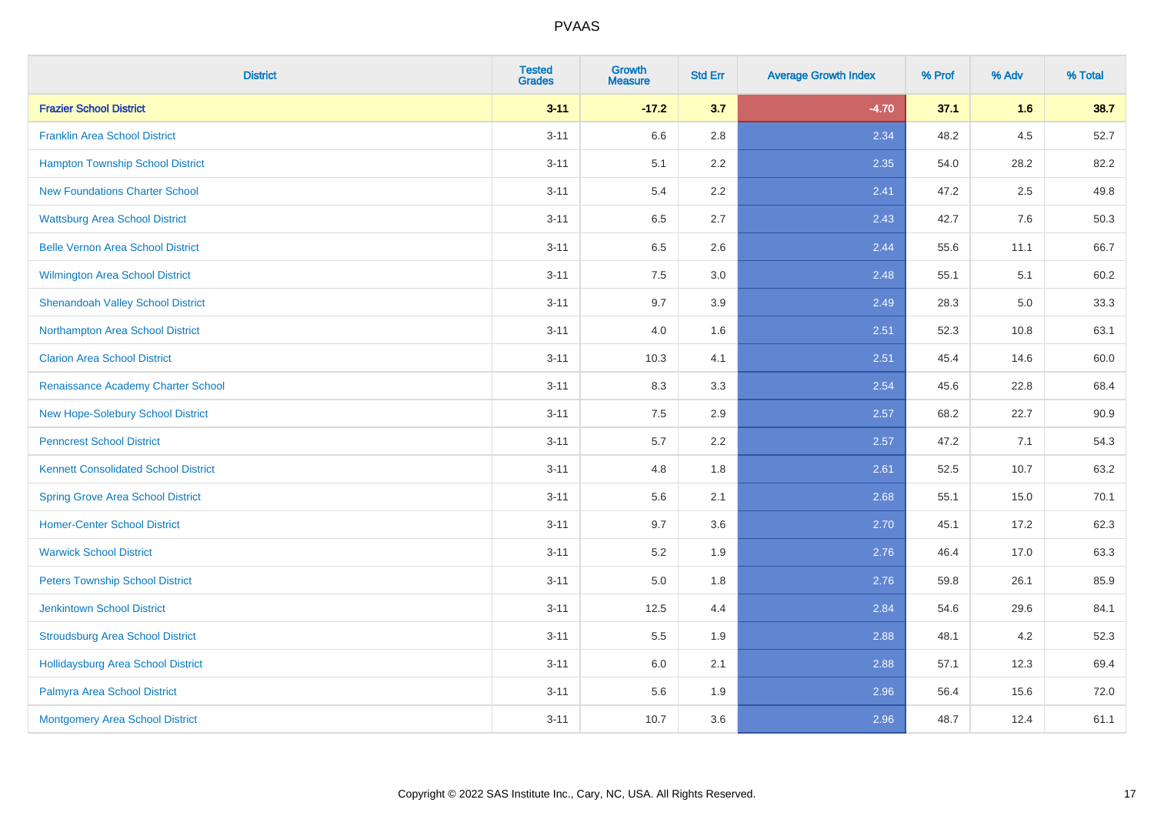| <b>District</b>                             | <b>Tested</b><br><b>Grades</b> | <b>Growth</b><br><b>Measure</b> | <b>Std Err</b> | <b>Average Growth Index</b> | % Prof | % Adv | % Total |
|---------------------------------------------|--------------------------------|---------------------------------|----------------|-----------------------------|--------|-------|---------|
| <b>Frazier School District</b>              | $3 - 11$                       | $-17.2$                         | 3.7            | $-4.70$                     | 37.1   | 1.6   | 38.7    |
| <b>Franklin Area School District</b>        | $3 - 11$                       | 6.6                             | 2.8            | 2.34                        | 48.2   | 4.5   | 52.7    |
| <b>Hampton Township School District</b>     | $3 - 11$                       | 5.1                             | 2.2            | 2.35                        | 54.0   | 28.2  | 82.2    |
| <b>New Foundations Charter School</b>       | $3 - 11$                       | 5.4                             | 2.2            | 2.41                        | 47.2   | 2.5   | 49.8    |
| <b>Wattsburg Area School District</b>       | $3 - 11$                       | 6.5                             | 2.7            | 2.43                        | 42.7   | 7.6   | 50.3    |
| <b>Belle Vernon Area School District</b>    | $3 - 11$                       | 6.5                             | 2.6            | 2.44                        | 55.6   | 11.1  | 66.7    |
| Wilmington Area School District             | $3 - 11$                       | $7.5\,$                         | 3.0            | 2.48                        | 55.1   | 5.1   | 60.2    |
| <b>Shenandoah Valley School District</b>    | $3 - 11$                       | 9.7                             | 3.9            | 2.49                        | 28.3   | 5.0   | 33.3    |
| Northampton Area School District            | $3 - 11$                       | 4.0                             | 1.6            | 2.51                        | 52.3   | 10.8  | 63.1    |
| <b>Clarion Area School District</b>         | $3 - 11$                       | 10.3                            | 4.1            | 2.51                        | 45.4   | 14.6  | 60.0    |
| Renaissance Academy Charter School          | $3 - 11$                       | 8.3                             | 3.3            | 2.54                        | 45.6   | 22.8  | 68.4    |
| New Hope-Solebury School District           | $3 - 11$                       | 7.5                             | 2.9            | 2.57                        | 68.2   | 22.7  | 90.9    |
| <b>Penncrest School District</b>            | $3 - 11$                       | 5.7                             | 2.2            | 2.57                        | 47.2   | 7.1   | 54.3    |
| <b>Kennett Consolidated School District</b> | $3 - 11$                       | 4.8                             | 1.8            | 2.61                        | 52.5   | 10.7  | 63.2    |
| <b>Spring Grove Area School District</b>    | $3 - 11$                       | 5.6                             | 2.1            | 2.68                        | 55.1   | 15.0  | 70.1    |
| <b>Homer-Center School District</b>         | $3 - 11$                       | 9.7                             | 3.6            | 2.70                        | 45.1   | 17.2  | 62.3    |
| <b>Warwick School District</b>              | $3 - 11$                       | $5.2\,$                         | 1.9            | 2.76                        | 46.4   | 17.0  | 63.3    |
| <b>Peters Township School District</b>      | $3 - 11$                       | 5.0                             | 1.8            | 2.76                        | 59.8   | 26.1  | 85.9    |
| <b>Jenkintown School District</b>           | $3 - 11$                       | 12.5                            | 4.4            | 2.84                        | 54.6   | 29.6  | 84.1    |
| <b>Stroudsburg Area School District</b>     | $3 - 11$                       | 5.5                             | 1.9            | 2.88                        | 48.1   | 4.2   | 52.3    |
| <b>Hollidaysburg Area School District</b>   | $3 - 11$                       | 6.0                             | 2.1            | 2.88                        | 57.1   | 12.3  | 69.4    |
| Palmyra Area School District                | $3 - 11$                       | 5.6                             | 1.9            | 2.96                        | 56.4   | 15.6  | 72.0    |
| Montgomery Area School District             | $3 - 11$                       | 10.7                            | 3.6            | 2.96                        | 48.7   | 12.4  | 61.1    |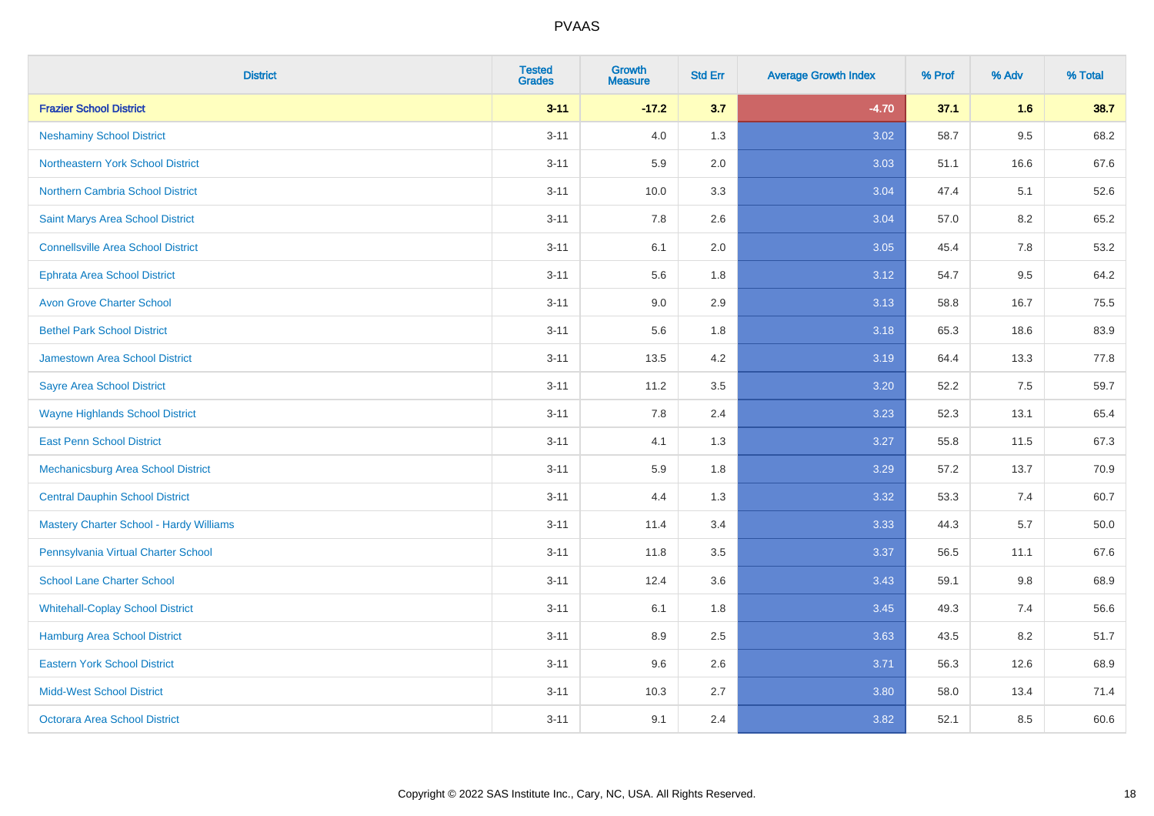| <b>District</b>                                | <b>Tested</b><br><b>Grades</b> | <b>Growth</b><br><b>Measure</b> | <b>Std Err</b> | <b>Average Growth Index</b> | % Prof | % Adv | % Total |
|------------------------------------------------|--------------------------------|---------------------------------|----------------|-----------------------------|--------|-------|---------|
| <b>Frazier School District</b>                 | $3 - 11$                       | $-17.2$                         | 3.7            | $-4.70$                     | 37.1   | 1.6   | 38.7    |
| <b>Neshaminy School District</b>               | $3 - 11$                       | 4.0                             | 1.3            | 3.02                        | 58.7   | 9.5   | 68.2    |
| <b>Northeastern York School District</b>       | $3 - 11$                       | 5.9                             | 2.0            | 3.03                        | 51.1   | 16.6  | 67.6    |
| Northern Cambria School District               | $3 - 11$                       | 10.0                            | 3.3            | 3.04                        | 47.4   | 5.1   | 52.6    |
| Saint Marys Area School District               | $3 - 11$                       | 7.8                             | 2.6            | 3.04                        | 57.0   | 8.2   | 65.2    |
| <b>Connellsville Area School District</b>      | $3 - 11$                       | 6.1                             | 2.0            | 3.05                        | 45.4   | 7.8   | 53.2    |
| <b>Ephrata Area School District</b>            | $3 - 11$                       | 5.6                             | 1.8            | 3.12                        | 54.7   | 9.5   | 64.2    |
| <b>Avon Grove Charter School</b>               | $3 - 11$                       | 9.0                             | 2.9            | 3.13                        | 58.8   | 16.7  | 75.5    |
| <b>Bethel Park School District</b>             | $3 - 11$                       | 5.6                             | 1.8            | 3.18                        | 65.3   | 18.6  | 83.9    |
| <b>Jamestown Area School District</b>          | $3 - 11$                       | 13.5                            | 4.2            | 3.19                        | 64.4   | 13.3  | 77.8    |
| <b>Sayre Area School District</b>              | $3 - 11$                       | 11.2                            | 3.5            | 3.20                        | 52.2   | 7.5   | 59.7    |
| <b>Wayne Highlands School District</b>         | $3 - 11$                       | 7.8                             | 2.4            | 3.23                        | 52.3   | 13.1  | 65.4    |
| <b>East Penn School District</b>               | $3 - 11$                       | 4.1                             | 1.3            | 3.27                        | 55.8   | 11.5  | 67.3    |
| Mechanicsburg Area School District             | $3 - 11$                       | 5.9                             | 1.8            | 3.29                        | 57.2   | 13.7  | 70.9    |
| <b>Central Dauphin School District</b>         | $3 - 11$                       | 4.4                             | 1.3            | 3.32                        | 53.3   | 7.4   | 60.7    |
| <b>Mastery Charter School - Hardy Williams</b> | $3 - 11$                       | 11.4                            | 3.4            | 3.33                        | 44.3   | 5.7   | 50.0    |
| Pennsylvania Virtual Charter School            | $3 - 11$                       | 11.8                            | 3.5            | 3.37                        | 56.5   | 11.1  | 67.6    |
| <b>School Lane Charter School</b>              | $3 - 11$                       | 12.4                            | 3.6            | 3.43                        | 59.1   | 9.8   | 68.9    |
| <b>Whitehall-Coplay School District</b>        | $3 - 11$                       | 6.1                             | 1.8            | 3.45                        | 49.3   | 7.4   | 56.6    |
| Hamburg Area School District                   | $3 - 11$                       | 8.9                             | 2.5            | 3.63                        | 43.5   | 8.2   | 51.7    |
| <b>Eastern York School District</b>            | $3 - 11$                       | 9.6                             | 2.6            | 3.71                        | 56.3   | 12.6  | 68.9    |
| <b>Midd-West School District</b>               | $3 - 11$                       | 10.3                            | 2.7            | 3.80                        | 58.0   | 13.4  | 71.4    |
| <b>Octorara Area School District</b>           | $3 - 11$                       | 9.1                             | 2.4            | 3.82                        | 52.1   | 8.5   | 60.6    |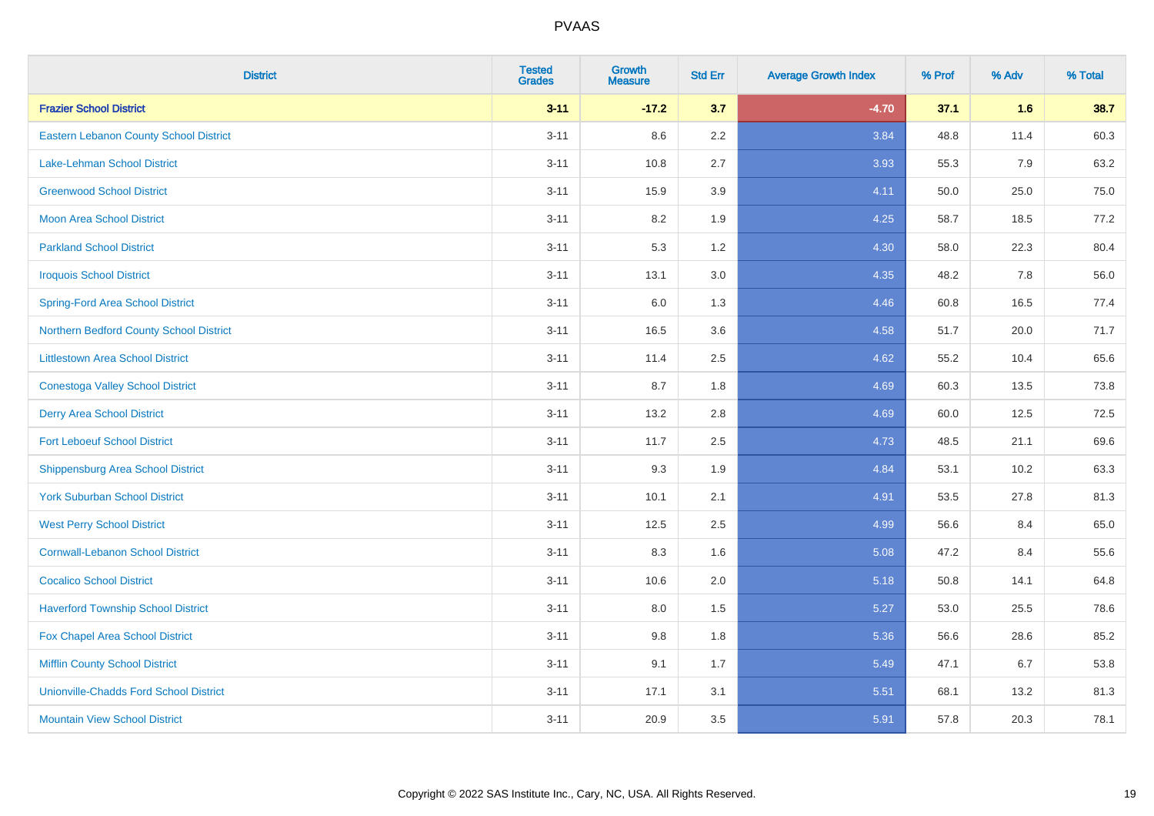| <b>District</b>                               | <b>Tested</b><br><b>Grades</b> | <b>Growth</b><br><b>Measure</b> | <b>Std Err</b> | <b>Average Growth Index</b> | % Prof | % Adv | % Total |
|-----------------------------------------------|--------------------------------|---------------------------------|----------------|-----------------------------|--------|-------|---------|
| <b>Frazier School District</b>                | $3 - 11$                       | $-17.2$                         | 3.7            | $-4.70$                     | 37.1   | 1.6   | 38.7    |
| Eastern Lebanon County School District        | $3 - 11$                       | 8.6                             | $2.2\,$        | 3.84                        | 48.8   | 11.4  | 60.3    |
| <b>Lake-Lehman School District</b>            | $3 - 11$                       | 10.8                            | 2.7            | 3.93                        | 55.3   | 7.9   | 63.2    |
| <b>Greenwood School District</b>              | $3 - 11$                       | 15.9                            | 3.9            | 4.11                        | 50.0   | 25.0  | 75.0    |
| <b>Moon Area School District</b>              | $3 - 11$                       | 8.2                             | 1.9            | 4.25                        | 58.7   | 18.5  | 77.2    |
| <b>Parkland School District</b>               | $3 - 11$                       | 5.3                             | 1.2            | 4.30                        | 58.0   | 22.3  | 80.4    |
| <b>Iroquois School District</b>               | $3 - 11$                       | 13.1                            | 3.0            | 4.35                        | 48.2   | 7.8   | 56.0    |
| <b>Spring-Ford Area School District</b>       | $3 - 11$                       | 6.0                             | 1.3            | 4.46                        | 60.8   | 16.5  | 77.4    |
| Northern Bedford County School District       | $3 - 11$                       | 16.5                            | 3.6            | 4.58                        | 51.7   | 20.0  | 71.7    |
| <b>Littlestown Area School District</b>       | $3 - 11$                       | 11.4                            | 2.5            | 4.62                        | 55.2   | 10.4  | 65.6    |
| <b>Conestoga Valley School District</b>       | $3 - 11$                       | 8.7                             | 1.8            | 4.69                        | 60.3   | 13.5  | 73.8    |
| <b>Derry Area School District</b>             | $3 - 11$                       | 13.2                            | 2.8            | 4.69                        | 60.0   | 12.5  | 72.5    |
| <b>Fort Leboeuf School District</b>           | $3 - 11$                       | 11.7                            | 2.5            | 4.73                        | 48.5   | 21.1  | 69.6    |
| <b>Shippensburg Area School District</b>      | $3 - 11$                       | 9.3                             | 1.9            | 4.84                        | 53.1   | 10.2  | 63.3    |
| <b>York Suburban School District</b>          | $3 - 11$                       | 10.1                            | 2.1            | 4.91                        | 53.5   | 27.8  | 81.3    |
| <b>West Perry School District</b>             | $3 - 11$                       | 12.5                            | 2.5            | 4.99                        | 56.6   | 8.4   | 65.0    |
| <b>Cornwall-Lebanon School District</b>       | $3 - 11$                       | 8.3                             | 1.6            | 5.08                        | 47.2   | 8.4   | 55.6    |
| <b>Cocalico School District</b>               | $3 - 11$                       | 10.6                            | 2.0            | 5.18                        | 50.8   | 14.1  | 64.8    |
| <b>Haverford Township School District</b>     | $3 - 11$                       | 8.0                             | 1.5            | 5.27                        | 53.0   | 25.5  | 78.6    |
| Fox Chapel Area School District               | $3 - 11$                       | 9.8                             | 1.8            | 5.36                        | 56.6   | 28.6  | 85.2    |
| <b>Mifflin County School District</b>         | $3 - 11$                       | 9.1                             | 1.7            | 5.49                        | 47.1   | 6.7   | 53.8    |
| <b>Unionville-Chadds Ford School District</b> | $3 - 11$                       | 17.1                            | 3.1            | 5.51                        | 68.1   | 13.2  | 81.3    |
| <b>Mountain View School District</b>          | $3 - 11$                       | 20.9                            | 3.5            | 5.91                        | 57.8   | 20.3  | 78.1    |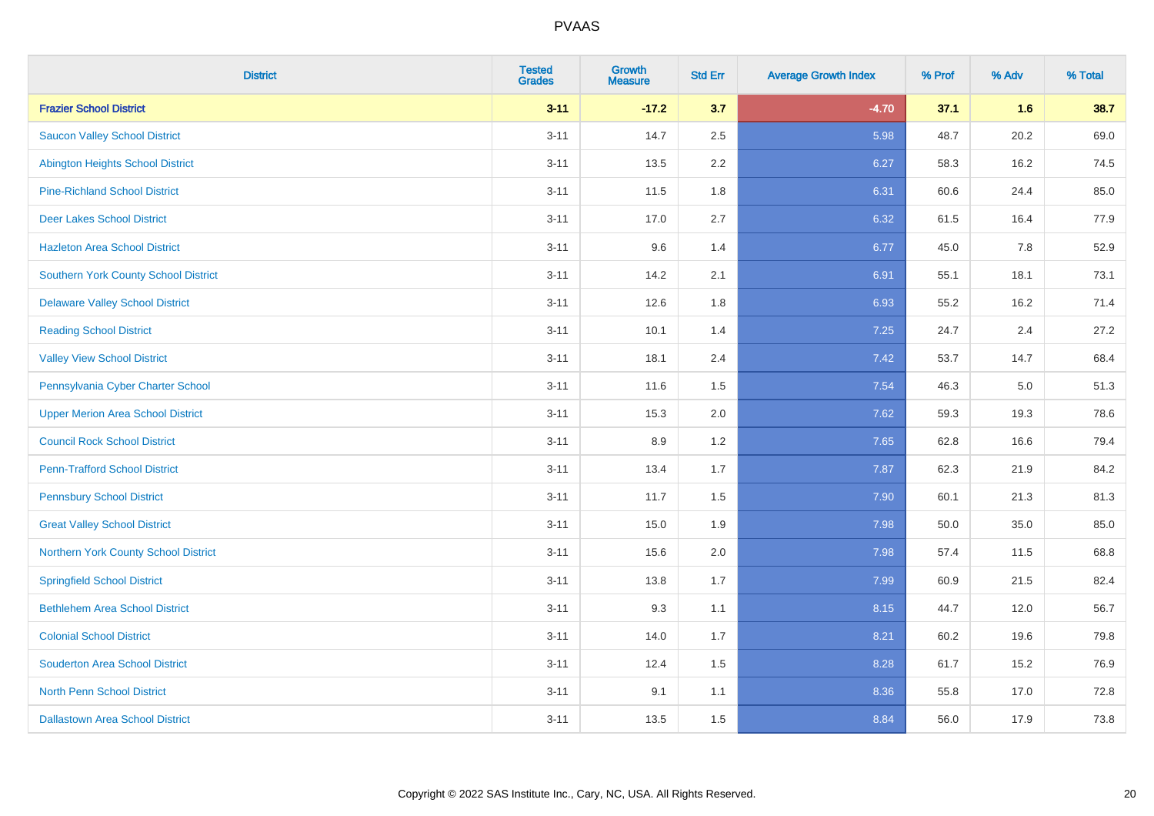| <b>District</b>                             | <b>Tested</b><br><b>Grades</b> | <b>Growth</b><br><b>Measure</b> | <b>Std Err</b> | <b>Average Growth Index</b> | % Prof | % Adv | % Total |
|---------------------------------------------|--------------------------------|---------------------------------|----------------|-----------------------------|--------|-------|---------|
| <b>Frazier School District</b>              | $3 - 11$                       | $-17.2$                         | 3.7            | $-4.70$                     | 37.1   | 1.6   | 38.7    |
| <b>Saucon Valley School District</b>        | $3 - 11$                       | 14.7                            | 2.5            | 5.98                        | 48.7   | 20.2  | 69.0    |
| <b>Abington Heights School District</b>     | $3 - 11$                       | 13.5                            | 2.2            | 6.27                        | 58.3   | 16.2  | 74.5    |
| <b>Pine-Richland School District</b>        | $3 - 11$                       | 11.5                            | 1.8            | 6.31                        | 60.6   | 24.4  | 85.0    |
| <b>Deer Lakes School District</b>           | $3 - 11$                       | 17.0                            | 2.7            | 6.32                        | 61.5   | 16.4  | 77.9    |
| <b>Hazleton Area School District</b>        | $3 - 11$                       | 9.6                             | 1.4            | 6.77                        | 45.0   | 7.8   | 52.9    |
| <b>Southern York County School District</b> | $3 - 11$                       | 14.2                            | 2.1            | 6.91                        | 55.1   | 18.1  | 73.1    |
| <b>Delaware Valley School District</b>      | $3 - 11$                       | 12.6                            | 1.8            | 6.93                        | 55.2   | 16.2  | 71.4    |
| <b>Reading School District</b>              | $3 - 11$                       | 10.1                            | 1.4            | 7.25                        | 24.7   | 2.4   | 27.2    |
| <b>Valley View School District</b>          | $3 - 11$                       | 18.1                            | 2.4            | 7.42                        | 53.7   | 14.7  | 68.4    |
| Pennsylvania Cyber Charter School           | $3 - 11$                       | 11.6                            | 1.5            | 7.54                        | 46.3   | 5.0   | 51.3    |
| <b>Upper Merion Area School District</b>    | $3 - 11$                       | 15.3                            | 2.0            | 7.62                        | 59.3   | 19.3  | 78.6    |
| <b>Council Rock School District</b>         | $3 - 11$                       | 8.9                             | 1.2            | 7.65                        | 62.8   | 16.6  | 79.4    |
| <b>Penn-Trafford School District</b>        | $3 - 11$                       | 13.4                            | 1.7            | 7.87                        | 62.3   | 21.9  | 84.2    |
| <b>Pennsbury School District</b>            | $3 - 11$                       | 11.7                            | 1.5            | 7.90                        | 60.1   | 21.3  | 81.3    |
| <b>Great Valley School District</b>         | $3 - 11$                       | 15.0                            | 1.9            | 7.98                        | 50.0   | 35.0  | 85.0    |
| Northern York County School District        | $3 - 11$                       | 15.6                            | 2.0            | 7.98                        | 57.4   | 11.5  | 68.8    |
| <b>Springfield School District</b>          | $3 - 11$                       | 13.8                            | 1.7            | 7.99                        | 60.9   | 21.5  | 82.4    |
| <b>Bethlehem Area School District</b>       | $3 - 11$                       | 9.3                             | 1.1            | 8.15                        | 44.7   | 12.0  | 56.7    |
| <b>Colonial School District</b>             | $3 - 11$                       | 14.0                            | 1.7            | 8.21                        | 60.2   | 19.6  | 79.8    |
| <b>Souderton Area School District</b>       | $3 - 11$                       | 12.4                            | 1.5            | 8.28                        | 61.7   | 15.2  | 76.9    |
| <b>North Penn School District</b>           | $3 - 11$                       | 9.1                             | 1.1            | 8.36                        | 55.8   | 17.0  | 72.8    |
| <b>Dallastown Area School District</b>      | $3 - 11$                       | 13.5                            | 1.5            | 8.84                        | 56.0   | 17.9  | 73.8    |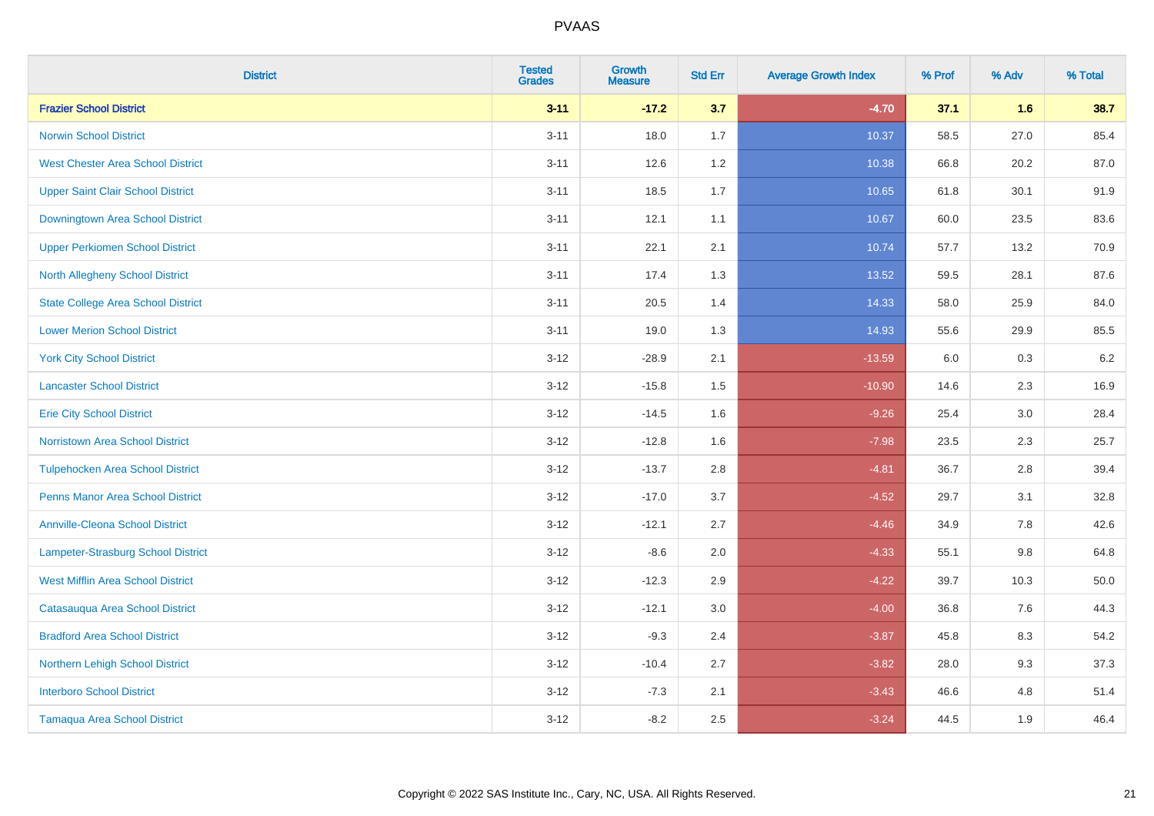| <b>District</b>                           | <b>Tested</b><br><b>Grades</b> | <b>Growth</b><br><b>Measure</b> | <b>Std Err</b> | <b>Average Growth Index</b> | % Prof | % Adv   | % Total |
|-------------------------------------------|--------------------------------|---------------------------------|----------------|-----------------------------|--------|---------|---------|
| <b>Frazier School District</b>            | $3 - 11$                       | $-17.2$                         | 3.7            | $-4.70$                     | 37.1   | 1.6     | 38.7    |
| <b>Norwin School District</b>             | $3 - 11$                       | 18.0                            | 1.7            | 10.37                       | 58.5   | 27.0    | 85.4    |
| <b>West Chester Area School District</b>  | $3 - 11$                       | 12.6                            | 1.2            | 10.38                       | 66.8   | 20.2    | 87.0    |
| <b>Upper Saint Clair School District</b>  | $3 - 11$                       | 18.5                            | 1.7            | 10.65                       | 61.8   | 30.1    | 91.9    |
| Downingtown Area School District          | $3 - 11$                       | 12.1                            | 1.1            | 10.67                       | 60.0   | 23.5    | 83.6    |
| <b>Upper Perkiomen School District</b>    | $3 - 11$                       | 22.1                            | 2.1            | 10.74                       | 57.7   | 13.2    | 70.9    |
| <b>North Allegheny School District</b>    | $3 - 11$                       | 17.4                            | 1.3            | 13.52                       | 59.5   | 28.1    | 87.6    |
| <b>State College Area School District</b> | $3 - 11$                       | 20.5                            | 1.4            | 14.33                       | 58.0   | 25.9    | 84.0    |
| <b>Lower Merion School District</b>       | $3 - 11$                       | 19.0                            | 1.3            | 14.93                       | 55.6   | 29.9    | 85.5    |
| <b>York City School District</b>          | $3 - 12$                       | $-28.9$                         | 2.1            | $-13.59$                    | 6.0    | 0.3     | 6.2     |
| <b>Lancaster School District</b>          | $3 - 12$                       | $-15.8$                         | 1.5            | $-10.90$                    | 14.6   | 2.3     | 16.9    |
| <b>Erie City School District</b>          | $3 - 12$                       | $-14.5$                         | 1.6            | $-9.26$                     | 25.4   | 3.0     | 28.4    |
| <b>Norristown Area School District</b>    | $3 - 12$                       | $-12.8$                         | 1.6            | $-7.98$                     | 23.5   | $2.3\,$ | 25.7    |
| <b>Tulpehocken Area School District</b>   | $3 - 12$                       | $-13.7$                         | 2.8            | $-4.81$                     | 36.7   | 2.8     | 39.4    |
| <b>Penns Manor Area School District</b>   | $3 - 12$                       | $-17.0$                         | 3.7            | $-4.52$                     | 29.7   | 3.1     | 32.8    |
| <b>Annville-Cleona School District</b>    | $3 - 12$                       | $-12.1$                         | 2.7            | $-4.46$                     | 34.9   | $7.8\,$ | 42.6    |
| Lampeter-Strasburg School District        | $3 - 12$                       | $-8.6$                          | 2.0            | $-4.33$                     | 55.1   | 9.8     | 64.8    |
| <b>West Mifflin Area School District</b>  | $3 - 12$                       | $-12.3$                         | 2.9            | $-4.22$                     | 39.7   | 10.3    | 50.0    |
| Catasauqua Area School District           | $3 - 12$                       | $-12.1$                         | 3.0            | $-4.00$                     | 36.8   | 7.6     | 44.3    |
| <b>Bradford Area School District</b>      | $3 - 12$                       | $-9.3$                          | 2.4            | $-3.87$                     | 45.8   | 8.3     | 54.2    |
| Northern Lehigh School District           | $3 - 12$                       | $-10.4$                         | 2.7            | $-3.82$                     | 28.0   | 9.3     | 37.3    |
| <b>Interboro School District</b>          | $3 - 12$                       | $-7.3$                          | 2.1            | $-3.43$                     | 46.6   | 4.8     | 51.4    |
| <b>Tamaqua Area School District</b>       | $3 - 12$                       | $-8.2$                          | 2.5            | $-3.24$                     | 44.5   | 1.9     | 46.4    |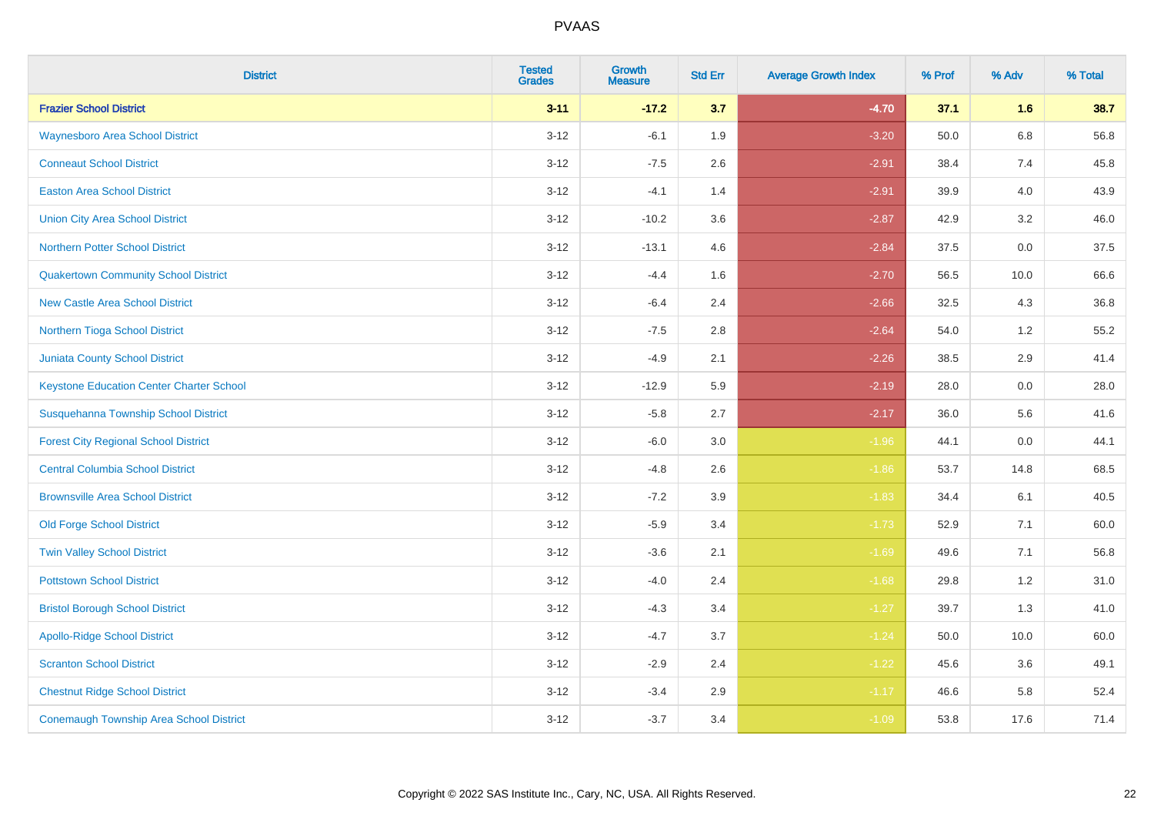| <b>District</b>                                 | <b>Tested</b><br><b>Grades</b> | <b>Growth</b><br><b>Measure</b> | <b>Std Err</b> | <b>Average Growth Index</b> | % Prof | % Adv   | % Total |
|-------------------------------------------------|--------------------------------|---------------------------------|----------------|-----------------------------|--------|---------|---------|
| <b>Frazier School District</b>                  | $3 - 11$                       | $-17.2$                         | 3.7            | $-4.70$                     | 37.1   | 1.6     | 38.7    |
| <b>Waynesboro Area School District</b>          | $3 - 12$                       | $-6.1$                          | 1.9            | $-3.20$                     | 50.0   | $6.8\,$ | 56.8    |
| <b>Conneaut School District</b>                 | $3 - 12$                       | $-7.5$                          | 2.6            | $-2.91$                     | 38.4   | 7.4     | 45.8    |
| <b>Easton Area School District</b>              | $3 - 12$                       | $-4.1$                          | 1.4            | $-2.91$                     | 39.9   | 4.0     | 43.9    |
| <b>Union City Area School District</b>          | $3-12$                         | $-10.2$                         | 3.6            | $-2.87$                     | 42.9   | 3.2     | 46.0    |
| <b>Northern Potter School District</b>          | $3 - 12$                       | $-13.1$                         | 4.6            | $-2.84$                     | 37.5   | 0.0     | 37.5    |
| <b>Quakertown Community School District</b>     | $3-12$                         | $-4.4$                          | 1.6            | $-2.70$                     | 56.5   | 10.0    | 66.6    |
| <b>New Castle Area School District</b>          | $3 - 12$                       | $-6.4$                          | 2.4            | $-2.66$                     | 32.5   | 4.3     | 36.8    |
| Northern Tioga School District                  | $3 - 12$                       | $-7.5$                          | 2.8            | $-2.64$                     | 54.0   | 1.2     | 55.2    |
| <b>Juniata County School District</b>           | $3 - 12$                       | $-4.9$                          | 2.1            | $-2.26$                     | 38.5   | 2.9     | 41.4    |
| <b>Keystone Education Center Charter School</b> | $3 - 12$                       | $-12.9$                         | 5.9            | $-2.19$                     | 28.0   | 0.0     | 28.0    |
| Susquehanna Township School District            | $3 - 12$                       | $-5.8$                          | 2.7            | $-2.17$                     | 36.0   | 5.6     | 41.6    |
| <b>Forest City Regional School District</b>     | $3 - 12$                       | $-6.0$                          | $3.0\,$        | $-1.96$                     | 44.1   | $0.0\,$ | 44.1    |
| <b>Central Columbia School District</b>         | $3-12$                         | $-4.8$                          | 2.6            | $-1.86$                     | 53.7   | 14.8    | 68.5    |
| <b>Brownsville Area School District</b>         | $3 - 12$                       | $-7.2$                          | 3.9            | $-1.83$                     | 34.4   | 6.1     | 40.5    |
| <b>Old Forge School District</b>                | $3-12$                         | $-5.9$                          | 3.4            | $-1.73$                     | 52.9   | 7.1     | 60.0    |
| <b>Twin Valley School District</b>              | $3-12$                         | $-3.6$                          | 2.1            | $-1.69$                     | 49.6   | 7.1     | 56.8    |
| <b>Pottstown School District</b>                | $3 - 12$                       | $-4.0$                          | 2.4            | $-1.68$                     | 29.8   | 1.2     | 31.0    |
| <b>Bristol Borough School District</b>          | $3 - 12$                       | $-4.3$                          | 3.4            | $-1.27$                     | 39.7   | 1.3     | 41.0    |
| <b>Apollo-Ridge School District</b>             | $3-12$                         | $-4.7$                          | 3.7            | $-1.24$                     | 50.0   | 10.0    | 60.0    |
| <b>Scranton School District</b>                 | $3-12$                         | $-2.9$                          | 2.4            | $-1.22$                     | 45.6   | 3.6     | 49.1    |
| <b>Chestnut Ridge School District</b>           | $3 - 12$                       | $-3.4$                          | 2.9            | $-1.17$                     | 46.6   | 5.8     | 52.4    |
| <b>Conemaugh Township Area School District</b>  | $3-12$                         | $-3.7$                          | 3.4            | $-1.09$                     | 53.8   | 17.6    | 71.4    |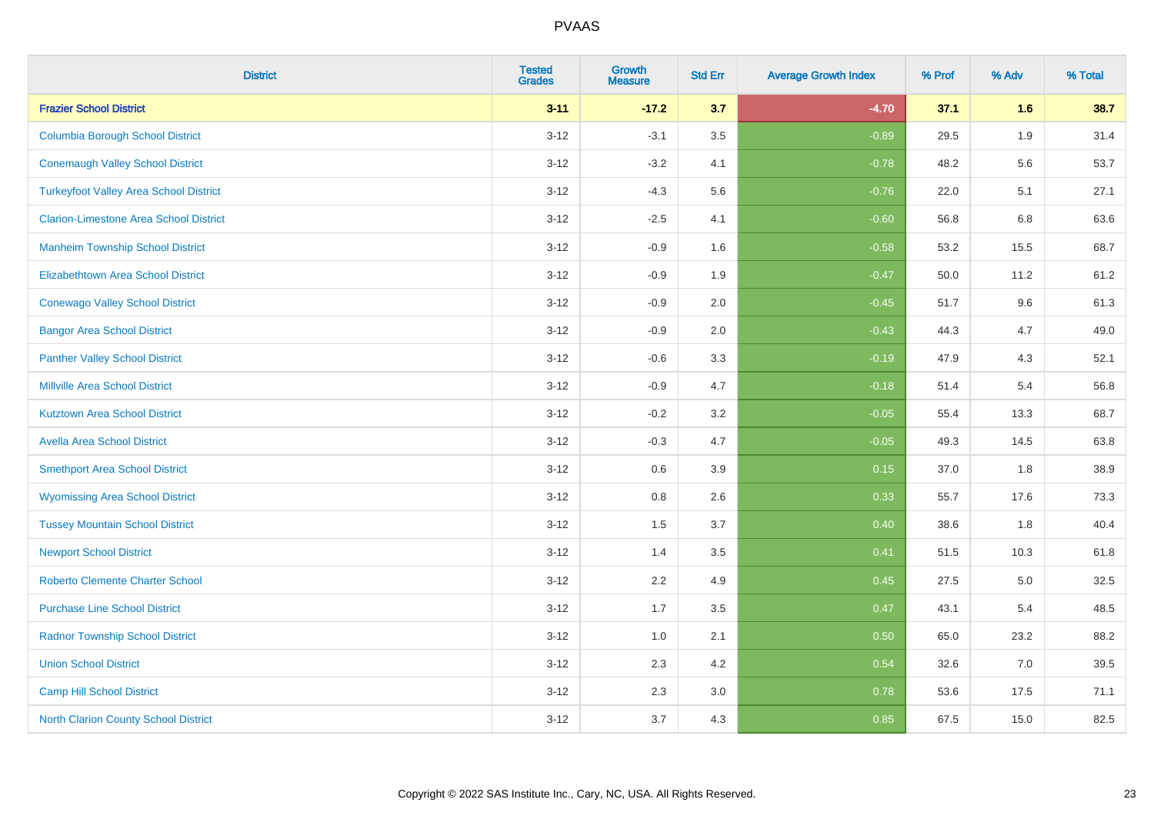| <b>District</b>                               | <b>Tested</b><br><b>Grades</b> | <b>Growth</b><br><b>Measure</b> | <b>Std Err</b> | <b>Average Growth Index</b> | % Prof | % Adv | % Total |
|-----------------------------------------------|--------------------------------|---------------------------------|----------------|-----------------------------|--------|-------|---------|
| <b>Frazier School District</b>                | $3 - 11$                       | $-17.2$                         | 3.7            | $-4.70$                     | 37.1   | 1.6   | 38.7    |
| <b>Columbia Borough School District</b>       | $3 - 12$                       | $-3.1$                          | 3.5            | $-0.89$                     | 29.5   | 1.9   | 31.4    |
| <b>Conemaugh Valley School District</b>       | $3 - 12$                       | $-3.2$                          | 4.1            | $-0.78$                     | 48.2   | 5.6   | 53.7    |
| <b>Turkeyfoot Valley Area School District</b> | $3 - 12$                       | $-4.3$                          | 5.6            | $-0.76$                     | 22.0   | 5.1   | 27.1    |
| <b>Clarion-Limestone Area School District</b> | $3 - 12$                       | $-2.5$                          | 4.1            | $-0.60$                     | 56.8   | 6.8   | 63.6    |
| <b>Manheim Township School District</b>       | $3 - 12$                       | $-0.9$                          | 1.6            | $-0.58$                     | 53.2   | 15.5  | 68.7    |
| <b>Elizabethtown Area School District</b>     | $3 - 12$                       | $-0.9$                          | 1.9            | $-0.47$                     | 50.0   | 11.2  | 61.2    |
| <b>Conewago Valley School District</b>        | $3 - 12$                       | $-0.9$                          | 2.0            | $-0.45$                     | 51.7   | 9.6   | 61.3    |
| <b>Bangor Area School District</b>            | $3 - 12$                       | $-0.9$                          | 2.0            | $-0.43$                     | 44.3   | 4.7   | 49.0    |
| <b>Panther Valley School District</b>         | $3 - 12$                       | $-0.6$                          | 3.3            | $-0.19$                     | 47.9   | 4.3   | 52.1    |
| <b>Millville Area School District</b>         | $3 - 12$                       | $-0.9$                          | 4.7            | $-0.18$                     | 51.4   | 5.4   | 56.8    |
| <b>Kutztown Area School District</b>          | $3 - 12$                       | $-0.2$                          | 3.2            | $-0.05$                     | 55.4   | 13.3  | 68.7    |
| <b>Avella Area School District</b>            | $3 - 12$                       | $-0.3$                          | 4.7            | $-0.05$                     | 49.3   | 14.5  | 63.8    |
| <b>Smethport Area School District</b>         | $3 - 12$                       | 0.6                             | 3.9            | 0.15                        | 37.0   | 1.8   | 38.9    |
| <b>Wyomissing Area School District</b>        | $3 - 12$                       | $0.8\,$                         | 2.6            | 0.33                        | 55.7   | 17.6  | 73.3    |
| <b>Tussey Mountain School District</b>        | $3 - 12$                       | 1.5                             | 3.7            | 0.40                        | 38.6   | 1.8   | 40.4    |
| <b>Newport School District</b>                | $3 - 12$                       | 1.4                             | 3.5            | 0.41                        | 51.5   | 10.3  | 61.8    |
| <b>Roberto Clemente Charter School</b>        | $3 - 12$                       | 2.2                             | 4.9            | 0.45                        | 27.5   | 5.0   | 32.5    |
| <b>Purchase Line School District</b>          | $3 - 12$                       | 1.7                             | 3.5            | 0.47                        | 43.1   | 5.4   | 48.5    |
| <b>Radnor Township School District</b>        | $3 - 12$                       | 1.0                             | 2.1            | 0.50                        | 65.0   | 23.2  | 88.2    |
| <b>Union School District</b>                  | $3 - 12$                       | 2.3                             | 4.2            | 0.54                        | 32.6   | 7.0   | 39.5    |
| Camp Hill School District                     | $3 - 12$                       | 2.3                             | 3.0            | 0.78                        | 53.6   | 17.5  | 71.1    |
| <b>North Clarion County School District</b>   | $3 - 12$                       | 3.7                             | 4.3            | 0.85                        | 67.5   | 15.0  | 82.5    |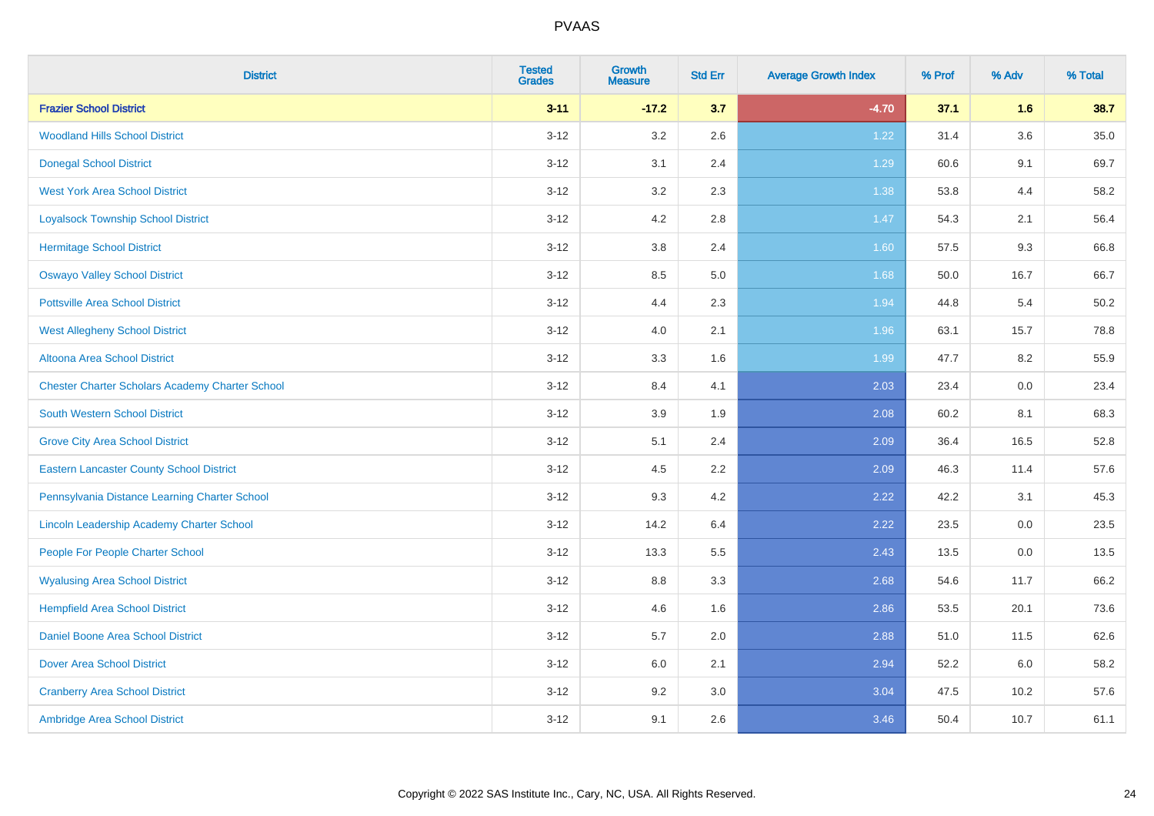| <b>District</b>                                        | <b>Tested</b><br><b>Grades</b> | <b>Growth</b><br><b>Measure</b> | <b>Std Err</b> | <b>Average Growth Index</b> | % Prof | % Adv | % Total |
|--------------------------------------------------------|--------------------------------|---------------------------------|----------------|-----------------------------|--------|-------|---------|
| <b>Frazier School District</b>                         | $3 - 11$                       | $-17.2$                         | 3.7            | $-4.70$                     | 37.1   | 1.6   | 38.7    |
| <b>Woodland Hills School District</b>                  | $3 - 12$                       | 3.2                             | 2.6            | 1.22                        | 31.4   | 3.6   | 35.0    |
| <b>Donegal School District</b>                         | $3 - 12$                       | 3.1                             | 2.4            | 1.29                        | 60.6   | 9.1   | 69.7    |
| <b>West York Area School District</b>                  | $3 - 12$                       | $3.2\,$                         | 2.3            | 1.38                        | 53.8   | 4.4   | 58.2    |
| <b>Loyalsock Township School District</b>              | $3 - 12$                       | 4.2                             | 2.8            | 1.47                        | 54.3   | 2.1   | 56.4    |
| <b>Hermitage School District</b>                       | $3 - 12$                       | $3.8\,$                         | 2.4            | 1.60                        | 57.5   | 9.3   | 66.8    |
| <b>Oswayo Valley School District</b>                   | $3 - 12$                       | 8.5                             | 5.0            | 1.68                        | 50.0   | 16.7  | 66.7    |
| <b>Pottsville Area School District</b>                 | $3 - 12$                       | 4.4                             | 2.3            | 1.94                        | 44.8   | 5.4   | 50.2    |
| <b>West Allegheny School District</b>                  | $3 - 12$                       | 4.0                             | 2.1            | 1.96                        | 63.1   | 15.7  | 78.8    |
| <b>Altoona Area School District</b>                    | $3 - 12$                       | $3.3\,$                         | 1.6            | 1.99                        | 47.7   | 8.2   | 55.9    |
| <b>Chester Charter Scholars Academy Charter School</b> | $3 - 12$                       | 8.4                             | 4.1            | 2.03                        | 23.4   | 0.0   | 23.4    |
| <b>South Western School District</b>                   | $3 - 12$                       | 3.9                             | 1.9            | 2.08                        | 60.2   | 8.1   | 68.3    |
| <b>Grove City Area School District</b>                 | $3 - 12$                       | 5.1                             | 2.4            | 2.09                        | 36.4   | 16.5  | 52.8    |
| <b>Eastern Lancaster County School District</b>        | $3 - 12$                       | 4.5                             | 2.2            | 2.09                        | 46.3   | 11.4  | 57.6    |
| Pennsylvania Distance Learning Charter School          | $3 - 12$                       | 9.3                             | 4.2            | 2.22                        | 42.2   | 3.1   | 45.3    |
| Lincoln Leadership Academy Charter School              | $3 - 12$                       | 14.2                            | 6.4            | 2.22                        | 23.5   | 0.0   | 23.5    |
| People For People Charter School                       | $3 - 12$                       | 13.3                            | 5.5            | 2.43                        | 13.5   | 0.0   | 13.5    |
| <b>Wyalusing Area School District</b>                  | $3 - 12$                       | 8.8                             | 3.3            | 2.68                        | 54.6   | 11.7  | 66.2    |
| <b>Hempfield Area School District</b>                  | $3 - 12$                       | 4.6                             | 1.6            | 2.86                        | 53.5   | 20.1  | 73.6    |
| <b>Daniel Boone Area School District</b>               | $3 - 12$                       | 5.7                             | 2.0            | 2.88                        | 51.0   | 11.5  | 62.6    |
| <b>Dover Area School District</b>                      | $3 - 12$                       | 6.0                             | 2.1            | 2.94                        | 52.2   | 6.0   | 58.2    |
| <b>Cranberry Area School District</b>                  | $3 - 12$                       | 9.2                             | 3.0            | 3.04                        | 47.5   | 10.2  | 57.6    |
| Ambridge Area School District                          | $3 - 12$                       | 9.1                             | 2.6            | 3.46                        | 50.4   | 10.7  | 61.1    |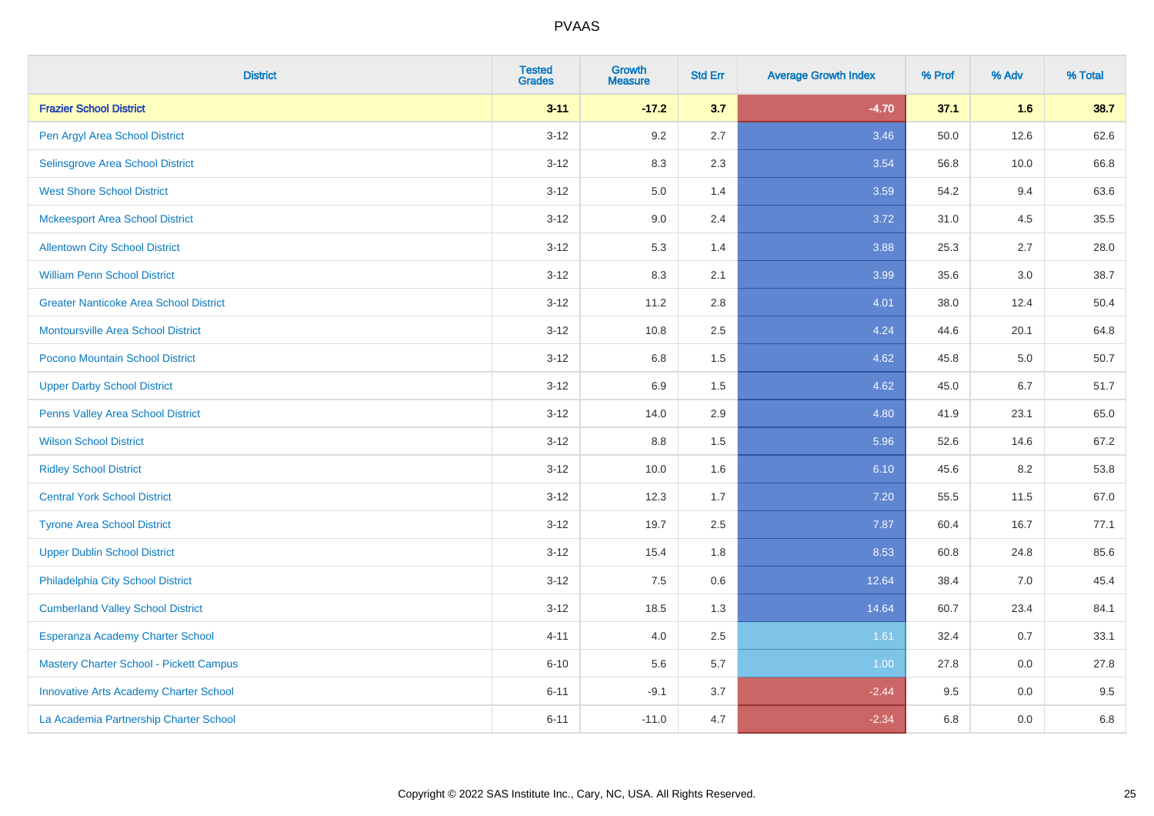| <b>District</b>                               | <b>Tested</b><br><b>Grades</b> | <b>Growth</b><br><b>Measure</b> | <b>Std Err</b> | <b>Average Growth Index</b> | % Prof | % Adv | % Total |
|-----------------------------------------------|--------------------------------|---------------------------------|----------------|-----------------------------|--------|-------|---------|
| <b>Frazier School District</b>                | $3 - 11$                       | $-17.2$                         | 3.7            | $-4.70$                     | 37.1   | 1.6   | 38.7    |
| Pen Argyl Area School District                | $3 - 12$                       | 9.2                             | 2.7            | 3.46                        | 50.0   | 12.6  | 62.6    |
| Selinsgrove Area School District              | $3 - 12$                       | 8.3                             | 2.3            | 3.54                        | 56.8   | 10.0  | 66.8    |
| <b>West Shore School District</b>             | $3 - 12$                       | $5.0\,$                         | 1.4            | 3.59                        | 54.2   | 9.4   | 63.6    |
| <b>Mckeesport Area School District</b>        | $3 - 12$                       | 9.0                             | 2.4            | 3.72                        | 31.0   | 4.5   | 35.5    |
| <b>Allentown City School District</b>         | $3 - 12$                       | 5.3                             | 1.4            | 3.88                        | 25.3   | 2.7   | 28.0    |
| <b>William Penn School District</b>           | $3-12$                         | 8.3                             | 2.1            | 3.99                        | 35.6   | 3.0   | 38.7    |
| <b>Greater Nanticoke Area School District</b> | $3 - 12$                       | 11.2                            | 2.8            | 4.01                        | 38.0   | 12.4  | 50.4    |
| Montoursville Area School District            | $3 - 12$                       | 10.8                            | 2.5            | 4.24                        | 44.6   | 20.1  | 64.8    |
| Pocono Mountain School District               | $3 - 12$                       | 6.8                             | 1.5            | 4.62                        | 45.8   | 5.0   | 50.7    |
| <b>Upper Darby School District</b>            | $3 - 12$                       | 6.9                             | 1.5            | 4.62                        | 45.0   | 6.7   | 51.7    |
| Penns Valley Area School District             | $3 - 12$                       | 14.0                            | 2.9            | 4.80                        | 41.9   | 23.1  | 65.0    |
| <b>Wilson School District</b>                 | $3 - 12$                       | 8.8                             | 1.5            | 5.96                        | 52.6   | 14.6  | 67.2    |
| <b>Ridley School District</b>                 | $3-12$                         | 10.0                            | 1.6            | 6.10                        | 45.6   | 8.2   | 53.8    |
| <b>Central York School District</b>           | $3 - 12$                       | 12.3                            | 1.7            | 7.20                        | 55.5   | 11.5  | 67.0    |
| <b>Tyrone Area School District</b>            | $3 - 12$                       | 19.7                            | 2.5            | 7.87                        | 60.4   | 16.7  | 77.1    |
| <b>Upper Dublin School District</b>           | $3-12$                         | 15.4                            | 1.8            | 8.53                        | 60.8   | 24.8  | 85.6    |
| Philadelphia City School District             | $3 - 12$                       | 7.5                             | 0.6            | 12.64                       | 38.4   | 7.0   | 45.4    |
| <b>Cumberland Valley School District</b>      | $3 - 12$                       | 18.5                            | 1.3            | 14.64                       | 60.7   | 23.4  | 84.1    |
| Esperanza Academy Charter School              | $4 - 11$                       | 4.0                             | 2.5            | 1.61                        | 32.4   | 0.7   | 33.1    |
| Mastery Charter School - Pickett Campus       | $6 - 10$                       | 5.6                             | 5.7            | 1.00                        | 27.8   | 0.0   | 27.8    |
| <b>Innovative Arts Academy Charter School</b> | $6 - 11$                       | $-9.1$                          | 3.7            | $-2.44$                     | 9.5    | 0.0   | 9.5     |
| La Academia Partnership Charter School        | $6 - 11$                       | $-11.0$                         | 4.7            | $-2.34$                     | 6.8    | 0.0   | 6.8     |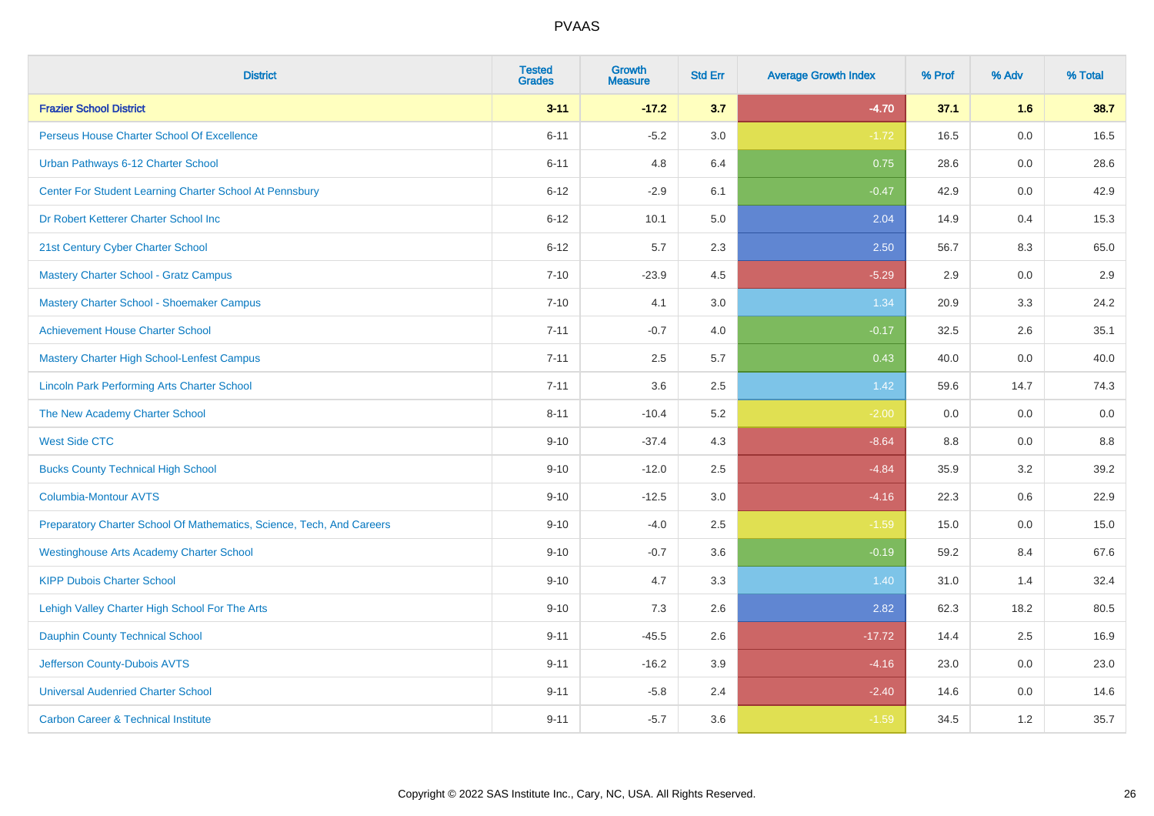| <b>District</b>                                                       | <b>Tested</b><br><b>Grades</b> | Growth<br><b>Measure</b> | <b>Std Err</b> | <b>Average Growth Index</b> | % Prof | % Adv | % Total |
|-----------------------------------------------------------------------|--------------------------------|--------------------------|----------------|-----------------------------|--------|-------|---------|
| <b>Frazier School District</b>                                        | $3 - 11$                       | $-17.2$                  | 3.7            | $-4.70$                     | 37.1   | 1.6   | 38.7    |
| Perseus House Charter School Of Excellence                            | $6 - 11$                       | $-5.2$                   | 3.0            | $-1.72$                     | 16.5   | 0.0   | 16.5    |
| Urban Pathways 6-12 Charter School                                    | $6 - 11$                       | 4.8                      | 6.4            | 0.75                        | 28.6   | 0.0   | 28.6    |
| Center For Student Learning Charter School At Pennsbury               | $6 - 12$                       | $-2.9$                   | 6.1            | $-0.47$                     | 42.9   | 0.0   | 42.9    |
| Dr Robert Ketterer Charter School Inc                                 | $6 - 12$                       | 10.1                     | 5.0            | 2.04                        | 14.9   | 0.4   | 15.3    |
| 21st Century Cyber Charter School                                     | $6 - 12$                       | 5.7                      | 2.3            | 2.50                        | 56.7   | 8.3   | 65.0    |
| Mastery Charter School - Gratz Campus                                 | $7 - 10$                       | $-23.9$                  | 4.5            | $-5.29$                     | 2.9    | 0.0   | 2.9     |
| Mastery Charter School - Shoemaker Campus                             | $7 - 10$                       | 4.1                      | 3.0            | 1.34                        | 20.9   | 3.3   | 24.2    |
| <b>Achievement House Charter School</b>                               | $7 - 11$                       | $-0.7$                   | 4.0            | $-0.17$                     | 32.5   | 2.6   | 35.1    |
| <b>Mastery Charter High School-Lenfest Campus</b>                     | $7 - 11$                       | 2.5                      | 5.7            | 0.43                        | 40.0   | 0.0   | 40.0    |
| <b>Lincoln Park Performing Arts Charter School</b>                    | $7 - 11$                       | 3.6                      | 2.5            | 1.42                        | 59.6   | 14.7  | 74.3    |
| The New Academy Charter School                                        | $8 - 11$                       | $-10.4$                  | 5.2            | $-2.00$                     | 0.0    | 0.0   | 0.0     |
| <b>West Side CTC</b>                                                  | $9 - 10$                       | $-37.4$                  | 4.3            | $-8.64$                     | 8.8    | 0.0   | 8.8     |
| <b>Bucks County Technical High School</b>                             | $9 - 10$                       | $-12.0$                  | 2.5            | $-4.84$                     | 35.9   | 3.2   | 39.2    |
| <b>Columbia-Montour AVTS</b>                                          | $9 - 10$                       | $-12.5$                  | 3.0            | $-4.16$                     | 22.3   | 0.6   | 22.9    |
| Preparatory Charter School Of Mathematics, Science, Tech, And Careers | $9 - 10$                       | $-4.0$                   | 2.5            | $-1.59$                     | 15.0   | 0.0   | 15.0    |
| <b>Westinghouse Arts Academy Charter School</b>                       | $9 - 10$                       | $-0.7$                   | 3.6            | $-0.19$                     | 59.2   | 8.4   | 67.6    |
| <b>KIPP Dubois Charter School</b>                                     | $9 - 10$                       | 4.7                      | 3.3            | 1.40                        | 31.0   | 1.4   | 32.4    |
| Lehigh Valley Charter High School For The Arts                        | $9 - 10$                       | 7.3                      | 2.6            | 2.82                        | 62.3   | 18.2  | 80.5    |
| <b>Dauphin County Technical School</b>                                | $9 - 11$                       | $-45.5$                  | 2.6            | $-17.72$                    | 14.4   | 2.5   | 16.9    |
| Jefferson County-Dubois AVTS                                          | $9 - 11$                       | $-16.2$                  | 3.9            | $-4.16$                     | 23.0   | 0.0   | 23.0    |
| <b>Universal Audenried Charter School</b>                             | $9 - 11$                       | $-5.8$                   | 2.4            | $-2.40$                     | 14.6   | 0.0   | 14.6    |
| <b>Carbon Career &amp; Technical Institute</b>                        | $9 - 11$                       | $-5.7$                   | 3.6            | $-1.59$                     | 34.5   | 1.2   | 35.7    |